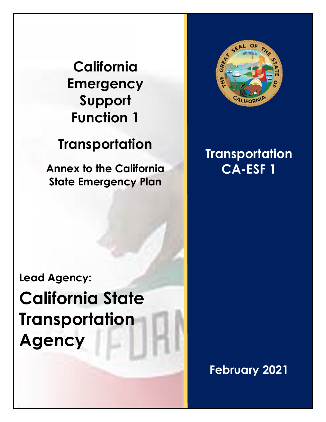# **California Emergency Support Function 1**

# **Transportation**

**Annex to the California State Emergency Plan**



# **Transportation CA-ESF 1**

**Lead Agency: California State Transportation Agency**

**February 2021**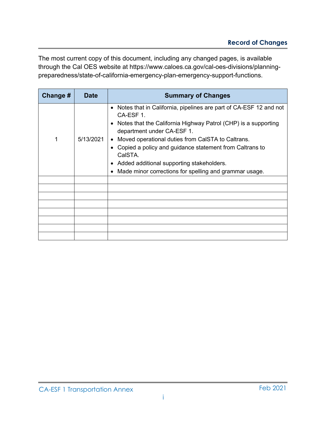The most current copy of this document, including any changed pages, is available [through the Cal OES website at https://www.caloes.ca.gov/cal-oes-divisions/planning](https://www.caloes.ca.gov/cal-oes-divisions/planning-preparedness/state-of-california-emergency-plan-emergency-support-functions)preparedness/state-of-california-emergency-plan-emergency-support-functions.

| Change # | Date      | <b>Summary of Changes</b>                                                                                                                                                                                                                                                                                                                                                                                                         |
|----------|-----------|-----------------------------------------------------------------------------------------------------------------------------------------------------------------------------------------------------------------------------------------------------------------------------------------------------------------------------------------------------------------------------------------------------------------------------------|
| 1        | 5/13/2021 | Notes that in California, pipelines are part of CA-ESF 12 and not<br>$\bullet$<br>CA-ESF 1.<br>• Notes that the California Highway Patrol (CHP) is a supporting<br>department under CA-ESF 1.<br>Moved operational duties from CalSTA to Caltrans.<br>Copied a policy and guidance statement from Caltrans to<br>CalSTA.<br>• Added additional supporting stakeholders.<br>Made minor corrections for spelling and grammar usage. |
|          |           |                                                                                                                                                                                                                                                                                                                                                                                                                                   |
|          |           |                                                                                                                                                                                                                                                                                                                                                                                                                                   |
|          |           |                                                                                                                                                                                                                                                                                                                                                                                                                                   |
|          |           |                                                                                                                                                                                                                                                                                                                                                                                                                                   |
|          |           |                                                                                                                                                                                                                                                                                                                                                                                                                                   |
|          |           |                                                                                                                                                                                                                                                                                                                                                                                                                                   |
|          |           |                                                                                                                                                                                                                                                                                                                                                                                                                                   |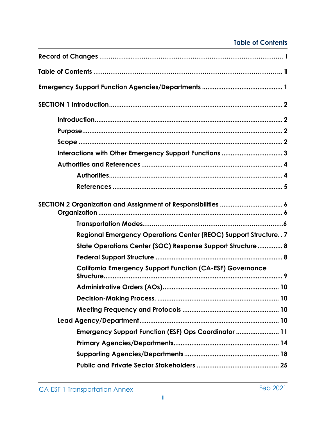## **Table of Contents**

| Interactions with Other Emergency Support Functions  3                |
|-----------------------------------------------------------------------|
|                                                                       |
|                                                                       |
|                                                                       |
|                                                                       |
|                                                                       |
| <b>Regional Emergency Operations Center (REOC) Support Structure7</b> |
| State Operations Center (SOC) Response Support Structure 8            |
|                                                                       |
| <b>California Emergency Support Function (CA-ESF) Governance</b>      |
|                                                                       |
|                                                                       |
|                                                                       |
|                                                                       |
| Emergency Support Function (ESF) Ops Coordinator  11                  |
|                                                                       |
|                                                                       |
|                                                                       |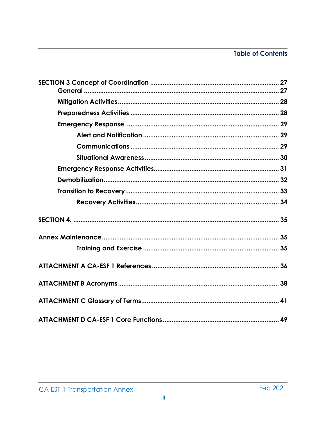# **Table of Contents**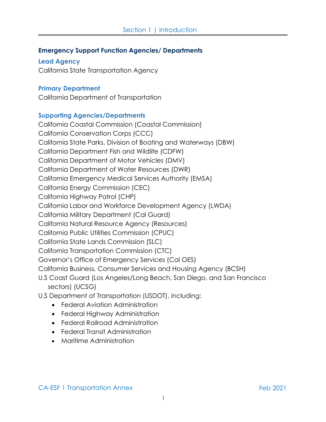#### **Emergency Support Function Agencies/ Departments**

**Lead Agency** 

California State Transportation Agency

#### **Primary Department**

California Department of Transportation

#### **Supporting Agencies/Departments**

California Coastal Commission (Coastal Commission) California Conservation Corps (CCC) California State Parks, Division of Boating and Waterways (DBW) California Department Fish and Wildlife (CDFW) California Department of Motor Vehicles (DMV) California Department of Water Resources (DWR) California Emergency Medical Services Authority (EMSA) California Energy Commission (CEC) California Highway Patrol (CHP) California Labor and Workforce Development Agency (LWDA) California Military Department (Cal Guard) California Natural Resource Agency (Resources) California Public Utilities Commission (CPUC) California State Lands Commission (SLC) California Transportation Commission (CTC) Governor's Office of Emergency Services (Cal OES) California Business, Consumer Services and Housing Agency (BCSH) U.S Coast Guard (Los Angeles/Long Beach, San Diego, and San Francisco sectors) (UCSG)

U.S Department of Transportation (USDOT), including:

- Federal Aviation Administration
- Federal Highway Administration
- Federal Railroad Administration
- Federal Transit Administration
- Maritime Administration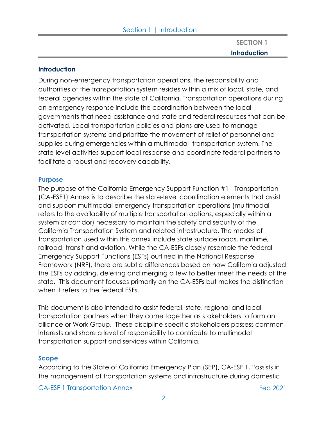**SECTION 1 Introduction**

#### **Introduction**

During non-emergency transportation operations, the responsibility and authorities of the transportation system resides within a mix of local, state, and federal agencies within the state of California. Transportation operations during an emergency response include the coordination between the local governments that need assistance and state and federal resources that can be activated. Local transportation policies and plans are used to manage transportation systems and prioritize the movement of relief of personnel and supplies during emergencies within a multimodal<sup>1</sup> transportation system. The state-level activities support local response and coordinate federal partners to facilitate a robust and recovery capability.

#### **Purpose**

The purpose of the California Emergency Support Function #1 - Transportation (CA-ESF1) Annex is to describe the state-level coordination elements that assist and support multimodal emergency transportation operations (multimodal refers to the availability of multiple transportation options, especially within a system or corridor) necessary to maintain the safety and security of the California Transportation System and related infrastructure. The modes of transportation used within this annex include state surface roads, maritime, railroad, transit and aviation. While the CA-ESFs closely resemble the federal Emergency Support Functions (ESFs) outlined in the National Response Framework (NRF), there are subtle differences based on how California adjusted the ESFs by adding, deleting and merging a few to better meet the needs of the state. This document focuses primarily on the CA-ESFs but makes the distinction when it refers to the federal ESFs.

This document is also intended to assist federal, state, regional and local transportation partners when they come together as stakeholders to form an alliance or Work Group. These discipline-specific stakeholders possess common interests and share a level of responsibility to contribute to multimodal transportation support and services within California.

#### **Scope**

According to the State of California Emergency Plan (SEP), CA-ESF 1, "assists in the management of transportation systems and infrastructure during domestic

CA-ESF 1 Transportation Annex **Feb 2021**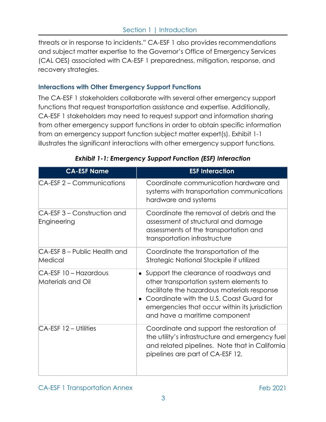threats or in response to incidents." CA-ESF 1 also provides recommendations and subject matter expertise to the Governor's Office of Emergency Services (CAL OES) associated with CA-ESF 1 preparedness, mitigation, response, and recovery strategies.

#### **Interactions with Other Emergency Support Functions**

The CA-ESF 1 stakeholders collaborate with several other emergency support functions that request transportation assistance and expertise. Additionally, CA-ESF 1 stakeholders may need to request support and information sharing from other emergency support functions in order to obtain specific information from an emergency support function subject matter expert(s). Exhibit 1-1 illustrates the significant interactions with other emergency support functio*ns.* 

| <b>CA-ESF Name</b>                         | <b>ESF</b> Interaction                                                                                                                                                                                                                                           |
|--------------------------------------------|------------------------------------------------------------------------------------------------------------------------------------------------------------------------------------------------------------------------------------------------------------------|
| CA-ESF 2 – Communications                  | Coordinate communication hardware and<br>systems with transportation communications<br>hardware and systems                                                                                                                                                      |
| CA-ESF 3 – Construction and<br>Engineering | Coordinate the removal of debris and the<br>assessment of structural and damage<br>assessments of the transportation and<br>transportation infrastructure                                                                                                        |
| CA-ESF 8 - Public Health and<br>Medical    | Coordinate the transportation of the<br>Strategic National Stockpile if utilized                                                                                                                                                                                 |
| CA-ESF 10 - Hazardous<br>Materials and Oil | • Support the clearance of roadways and<br>other transportation system elements to<br>facilitate the hazardous materials response<br>Coordinate with the U.S. Coast Guard for<br>emergencies that occur within its jurisdiction<br>and have a maritime component |
| CA-ESF 12 – Utilities                      | Coordinate and support the restoration of<br>the utility's infrastructure and emergency fuel<br>and related pipelines. Note that in California<br>pipelines are part of CA-ESF 12.                                                                               |

## *Exhibit 1-1: Emergency Support Function (ESF) Interaction*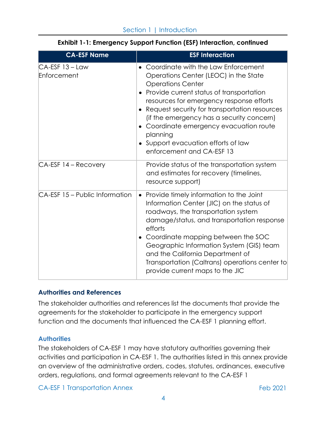| <b>CA-ESF Name</b>               | <b>ESF Interaction</b>                                                                                                                                                                                                                                                                                                                                                                                                  |
|----------------------------------|-------------------------------------------------------------------------------------------------------------------------------------------------------------------------------------------------------------------------------------------------------------------------------------------------------------------------------------------------------------------------------------------------------------------------|
| $CA-ESF$ 13 – Law<br>Enforcement | Coordinate with the Law Enforcement<br>Operations Center (LEOC) in the State<br><b>Operations Center</b><br>Provide current status of transportation<br>resources for emergency response efforts<br>Request security for transportation resources<br>(if the emergency has a security concern)<br>Coordinate emergency evacuation route<br>planning<br>• Support evacuation efforts of law<br>enforcement and CA-ESF 13 |
| CA-ESF 14 - Recovery             | Provide status of the transportation system<br>and estimates for recovery (timelines,<br>resource support)                                                                                                                                                                                                                                                                                                              |
| CA-ESF 15 - Public Information   | • Provide timely information to the Joint<br>Information Center (JIC) on the status of<br>roadways, the transportation system<br>damage/status, and transportation response<br>efforts<br>Coordinate mapping between the SOC<br>Geographic Information System (GIS) team<br>and the California Department of<br>Transportation (Caltrans) operations center to<br>provide current maps to the JIC                       |

### **Exhibit 1-1: Emergency Support Function (ESF) Interaction, continued**

#### **Authorities and References**

The stakeholder authorities and references list the documents that provide the agreements for the stakeholder to participate in the emergency support function and the documents that influenced the CA-ESF 1 planning effort.

#### **Authorities**

The stakeholders of CA-ESF 1 may have statutory authorities governing their activities and participation in CA-ESF 1. The authorities listed in this annex provide an overview of the administrative orders, codes, statutes, ordinances, executive orders, regulations, and formal agreements relevant to the CA-ESF 1

CA-ESF 1 Transportation Annex Feb 2021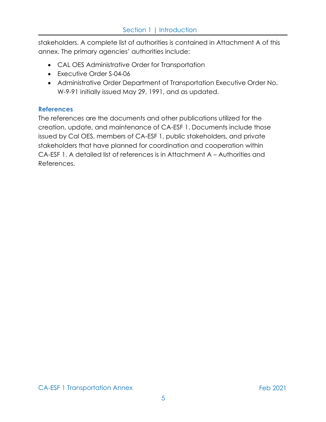stakeholders. A complete list of authorities is contained in Attachment A of this annex. The primary agencies' authorities include:

- CAL OES Administrative Order for Transportation
- Executive Order S-04-06
- Administrative Order Department of Transportation Executive Order No. W-9-91 initially issued May 29, 1991, and as updated.

#### **References**

The references are the documents and other publications utilized for the creation, update, and maintenance of CA-ESF 1. Documents include those issued by Cal OES, members of CA-ESF 1, public stakeholders, and private stakeholders that have planned for coordination and cooperation within CA-ESF 1. A detailed list of references is in Attachment A – Authorities and References.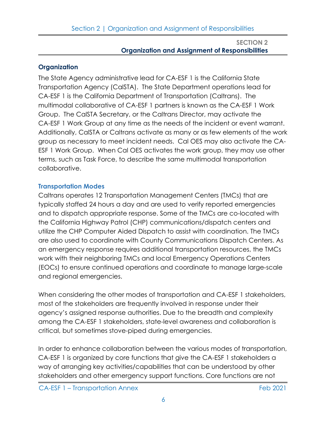## **Organization**

The State Agency administrative lead for CA-ESF 1 is the California State Transportation Agency (CalSTA). The State Department operations lead for CA-ESF 1 is the California Department of Transportation (Caltrans). The multimodal collaborative of CA-ESF 1 partners is known as the CA-ESF 1 Work Group. The CalSTA Secretary, or the Caltrans Director, may activate the CA-ESF 1 Work Group at any time as the needs of the incident or event warrant. Additionally, CalSTA or Caltrans activate as many or as few elements of the work group as necessary to meet incident needs. Cal OES may also activate the CA-ESF 1 Work Group. When Cal OES activates the work group, they may use other terms, such as Task Force, to describe the same multimodal transportation collaborative.

## **Transportation Modes**

Caltrans operates 12 Transportation Management Centers (TMCs) that are typically staffed 24 hours a day and are used to verify reported emergencies and to dispatch appropriate response. Some of the TMCs are co-located with the California Highway Patrol (CHP) communications/dispatch centers and utilize the CHP Computer Aided Dispatch to assist with coordination. The TMCs are also used to coordinate with County Communications Dispatch Centers. As an emergency response requires additional transportation resources, the TMCs work with their neighboring TMCs and local Emergency Operations Centers (EOCs) to ensure continued operations and coordinate to manage large‐scale and regional emergencies.

When considering the other modes of transportation and CA-ESF 1 stakeholders, most of the stakeholders are frequently involved in response under their agency's assigned response authorities. Due to the breadth and complexity among the CA-ESF 1 stakeholders, state-level awareness and collaboration is critical, but sometimes stove-piped during emergencies.

In order to enhance collaboration between the various modes of transportation, CA-ESF 1 is organized by core functions that give the CA-ESF 1 stakeholders a way of arranging key activities/capabilities that can be understood by other stakeholders and other emergency support functions. Core functions are not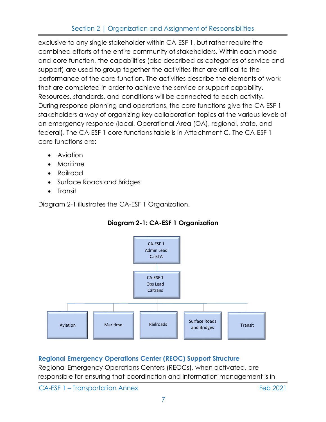exclusive to any single stakeholder within CA-ESF 1, but rather require the combined efforts of the entire community of stakeholders. Within each mode and core function, the capabilities (also described as categories of service and support) are used to group together the activities that are critical to the performance of the core function. The activities describe the elements of work that are completed in order to achieve the service or support capability. Resources, standards, and conditions will be connected to each activity. During response planning and operations, the core functions give the CA-ESF 1 stakeholders a way of organizing key collaboration topics at the various levels of an emergency response (local, Operational Area (OA), regional, state, and federal). The CA-ESF 1 core functions table is in Attachment C. The CA-ESF 1 core functions are:

- Aviation
- Maritime
- Railroad
- Surface Roads and Bridges
- Transit

Diagram 2-1 illustrates the CA-ESF 1 Organization.



## **Diagram 2-1: CA-ESF 1 Organization**

## **Regional Emergency Operations Center (REOC) Support Structure**

Regional Emergency Operations Centers (REOCs), when activated, are responsible for ensuring that coordination and information management is in

CA-ESF 1 – Transportation Annex Feb 2021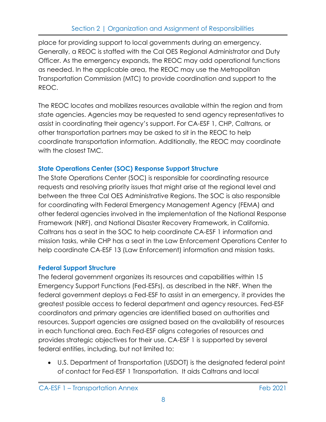place for providing support to local governments during an emergency. Generally, a REOC is staffed with the Cal OES Regional Administrator and Duty Officer. As the emergency expands, the REOC may add operational functions as needed. In the applicable area, the REOC may use the Metropolitan Transportation Commission (MTC) to provide coordination and support to the REOC.

The REOC locates and mobilizes resources available within the region and from state agencies. Agencies may be requested to send agency representatives to assist in coordinating their agency's support. For CA-ESF 1, CHP, Caltrans, or other transportation partners may be asked to sit in the REOC to help coordinate transportation information. Additionally, the REOC may coordinate with the closest TMC.

## **State Operations Center (SOC) Response Support Structure**

The State Operations Center (SOC) is responsible for coordinating resource requests and resolving priority issues that might arise at the regional level and between the three Cal OES Administrative Regions. The SOC is also responsible for coordinating with Federal Emergency Management Agency (FEMA) and other federal agencies involved in the implementation of the National Response Framework (NRF), and National Disaster Recovery Framework, in California. Caltrans has a seat in the SOC to help coordinate CA-ESF 1 information and mission tasks, while CHP has a seat in the Law Enforcement Operations Center to help coordinate CA-ESF 13 (Law Enforcement) information and mission tasks.

# **Federal Support Structure**

The federal government organizes its resources and capabilities within 15 Emergency Support Functions (Fed-ESFs), as described in the NRF. When the federal government deploys a Fed-ESF to assist in an emergency, it provides the greatest possible access to federal department and agency resources. Fed-ESF coordinators and primary agencies are identified based on authorities and resources. Support agencies are assigned based on the availability of resources in each functional area. Each Fed-ESF aligns categories of resources and provides strategic objectives for their use. CA-ESF 1 is supported by several federal entities, including, but not limited to:

• U.S. Department of Transportation (USDOT) is the designated federal point of contact for Fed-ESF 1 Transportation. It aids Caltrans and local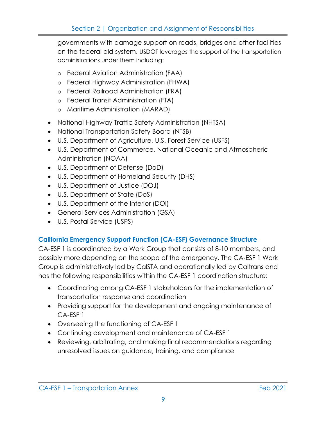governments with damage support on roads, bridges and other facilities on the federal aid system. USDOT leverages the support of the transportation administrations under them including:

- o Federal Aviation Administration (FAA)
- o Federal Highway Administration (FHWA)
- o Federal Railroad Administration (FRA)
- o Federal Transit Administration (FTA)
- o Maritime Administration (MARAD)
- National Highway Traffic Safety Administration (NHTSA)
- National Transportation Safety Board (NTSB)
- U.S. Department of Agriculture, U.S. Forest Service (USFS)
- U.S. Department of Commerce, National Oceanic and Atmospheric Administration (NOAA)
- U.S. Department of Defense (DoD)
- U.S. Department of Homeland Security (DHS)
- U.S. Department of Justice (DOJ)
- U.S. Department of State (DoS)
- U.S. Department of the Interior (DOI)
- General Services Administration (GSA)
- U.S. Postal Service (USPS)

## **California Emergency Support Function (CA-ESF) Governance Structure**

CA-ESF 1 is coordinated by a Work Group that consists of 8-10 members, and possibly more depending on the scope of the emergency. The CA-ESF 1 Work Group is administratively led by CalSTA and operationally led by Caltrans and has the following responsibilities within the CA-ESF 1 coordination structure:

- Coordinating among CA-ESF 1 stakeholders for the implementation of transportation response and coordination
- Providing support for the development and ongoing maintenance of CA-ESF 1
- Overseeing the functioning of CA-ESF 1
- Continuing development and maintenance of CA-ESF 1
- Reviewing, arbitrating, and making final recommendations regarding unresolved issues on guidance, training, and compliance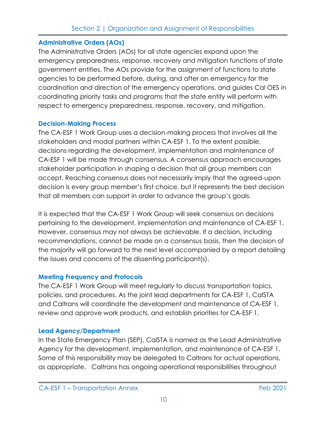## **Administrative Orders (AOs)**

The Administrative Orders (AOs) for all state agencies expand upon the emergency preparedness, response, recovery and mitigation functions of state government entities. The AOs provide for the assignment of functions to state agencies to be performed before, during, and after an emergency for the coordination and direction of the emergency operations, and guides Cal OES in coordinating priority tasks and programs that the state entity will perform with respect to emergency preparedness, response, recovery, and mitigation.

## **Decision-Making Process**

The CA-ESF 1 Work Group uses a decision-making process that involves all the stakeholders and modal partners within CA-ESF 1. To the extent possible, decisions regarding the development, implementation and maintenance of CA-ESF 1 will be made through consensus. A consensus approach encourages stakeholder participation in shaping a decision that all group members can accept. Reaching consensus does not necessarily imply that the agreed-upon decision is every group member's first choice, but it represents the best decision that all members can support in order to advance the group's goals.

It is expected that the CA-ESF 1 Work Group will seek consensus on decisions pertaining to the development, implementation and maintenance of CA-ESF 1. However, consensus may not always be achievable. If a decision, including recommendations, cannot be made on a consensus basis, then the decision of the majority will go forward to the next level accompanied by a report detailing the issues and concerns of the dissenting participant(s).

## **Meeting Frequency and Protocols**

The CA-ESF 1 Work Group will meet regularly to discuss transportation topics, policies, and procedures. As the joint lead departments for CA-ESF 1, CalSTA and Caltrans will coordinate the development and maintenance of CA-ESF 1, review and approve work products, and establish priorities for CA-ESF 1.

## **Lead Agency/Department**

In the State Emergency Plan (SEP), CalSTA is named as the Lead Administrative Agency for the development, implementation, and maintenance of CA-ESF 1. Some of this responsibility may be delegated to Caltrans for actual operations, as appropriate. Caltrans has ongoing operational responsibilities throughout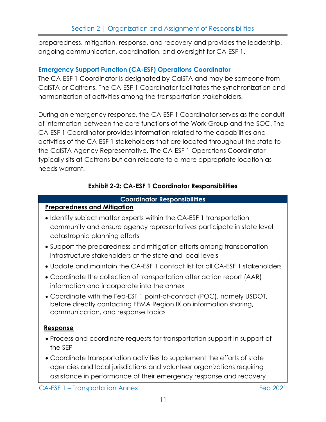preparedness, mitigation, response, and recovery and provides the leadership, ongoing communication, coordination, and oversight for CA-ESF 1.

#### **Emergency Support Function (CA-ESF) Operations Coordinator**

The CA-ESF 1 Coordinator is designated by CalSTA and may be someone from CalSTA or Caltrans. The CA-ESF 1 Coordinator facilitates the synchronization and harmonization of activities among the transportation stakeholders.

During an emergency response, the CA-ESF 1 Coordinator serves as the conduit of information between the core functions of the Work Group and the SOC. The CA-ESF 1 Coordinator provides information related to the capabilities and activities of the CA-ESF 1 stakeholders that are located throughout the state to the CalSTA Agency Representative. The CA-ESF 1 Operations Coordinator typically sits at Caltrans but can relocate to a more appropriate location as needs warrant.

#### **Exhibit 2-2: CA-ESF 1 Coordinator Responsibilities**

#### **Coordinator Responsibilities**

#### **Preparedness and Mitigation**

- Identify subject matter experts within the CA-ESF 1 transportation community and ensure agency representatives participate in state level catastrophic planning efforts
- Support the preparedness and mitigation efforts among transportation infrastructure stakeholders at the state and local levels
- Update and maintain the CA-ESF 1 contact list for all CA-ESF 1 stakeholders
- Coordinate the collection of transportation after action report (AAR) information and incorporate into the annex
- Coordinate with the Fed-ESF 1 point-of-contact (POC), namely USDOT, before directly contacting FEMA Region IX on information sharing, communication, and response topics

#### **Response**

- Process and coordinate requests for transportation support in support of the SEP
- Coordinate transportation activities to supplement the efforts of state agencies and local jurisdictions and volunteer organizations requiring assistance in performance of their emergency response and recovery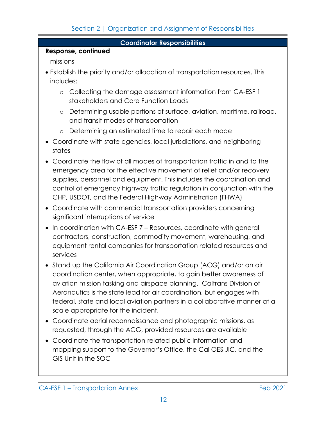#### **Coordinator Responsibilities**

### **Response, continued**

missions

- Establish the priority and/or allocation of transportation resources. This includes:
	- o Collecting the damage assessment information from CA-ESF 1 stakeholders and Core Function Leads
	- o Determining usable portions of surface, aviation, maritime, railroad, and transit modes of transportation
	- o Determining an estimated time to repair each mode
- Coordinate with state agencies, local jurisdictions, and neighboring states
- Coordinate the flow of all modes of transportation traffic in and to the emergency area for the effective movement of relief and/or recovery supplies, personnel and equipment. This includes the coordination and control of emergency highway traffic regulation in conjunction with the CHP, USDOT, and the Federal Highway Administration (FHWA)
- Coordinate with commercial transportation providers concerning significant interruptions of service
- In coordination with CA-ESF 7 Resources, coordinate with general contractors, construction, commodity movement, warehousing, and equipment rental companies for transportation related resources and services
- Stand up the California Air Coordination Group (ACG) and/or an air coordination center, when appropriate, to gain better awareness of aviation mission tasking and airspace planning. Caltrans Division of Aeronautics is the state lead for air coordination, but engages with federal, state and local aviation partners in a collaborative manner at a scale appropriate for the incident.
- Coordinate aerial reconnaissance and photographic missions, as requested, through the ACG, provided resources are available
- Coordinate the transportation-related public information and mapping support to the Governor's Office, the Cal OES JIC, and the GIS Unit in the SOC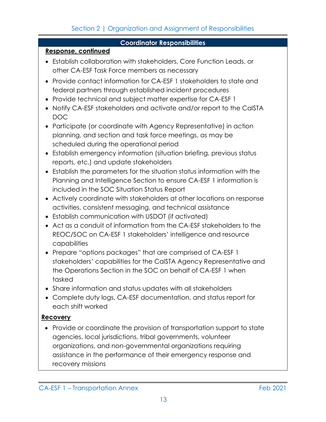#### **Coordinator Responsibilities**

#### **Response, continued**

- Establish collaboration with stakeholders, Core Function Leads, or other CA-ESF Task Force members as necessary
- Provide contact information for CA-ESF 1 stakeholders to state and federal partners through established incident procedures
- Provide technical and subject matter expertise for CA-ESF 1
- Notify CA-ESF stakeholders and activate and/or report to the CalSTA DOC
- Participate (or coordinate with Agency Representative) in action planning, and section and task force meetings, as may be scheduled during the operational period
- Establish emergency information (situation briefing, previous status reports, etc.) and update stakeholders
- Establish the parameters for the situation status information with the Planning and Intelligence Section to ensure CA-ESF 1 information is included in the SOC Situation Status Report
- Actively coordinate with stakeholders at other locations on response activities, consistent messaging, and technical assistance
- Establish communication with USDOT (if activated)
- Act as a conduit of information from the CA-ESF stakeholders to the REOC/SOC on CA-ESF 1 stakeholders' intelligence and resource capabilities
- Prepare "options packages" that are comprised of CA-ESF 1 stakeholders' capabilities for the CalSTA Agency Representative and the Operations Section in the SOC on behalf of CA-ESF 1 when tasked
- Share information and status updates with all stakeholders
- Complete duty logs, CA-ESF documentation, and status report for each shift worked

## **Recovery**

• Provide or coordinate the provision of transportation support to state agencies, local jurisdictions, tribal governments, volunteer organizations, and non-governmental organizations requiring assistance in the performance of their emergency response and recovery missions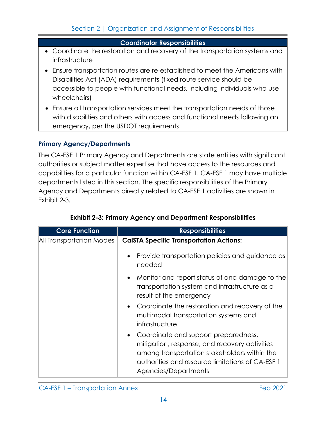#### **Coordinator Responsibilities**

- Coordinate the restoration and recovery of the transportation systems and infrastructure
- Ensure transportation routes are re-established to meet the Americans with Disabilities Act (ADA) requirements (fixed route service should be accessible to people with functional needs, including individuals who use wheelchairs)
- Ensure all transportation services meet the transportation needs of those with disabilities and others with access and functional needs following an emergency, per the USDOT requirements

#### **Primary Agency/Departments**

The CA-ESF 1 Primary Agency and Departments are state entities with significant authorities or subject matter expertise that have access to the resources and capabilities for a particular function within CA-ESF 1. CA-ESF 1 may have multiple departments listed in this section. The specific responsibilities of the Primary Agency and Departments directly related to CA-ESF 1 activities are shown in Exhibit 2-3.

| <b>Core Function</b>     | <b>Responsibilities</b>                                                                                                                                                                                             |
|--------------------------|---------------------------------------------------------------------------------------------------------------------------------------------------------------------------------------------------------------------|
| All Transportation Modes | <b>CalSTA Specific Transportation Actions:</b>                                                                                                                                                                      |
|                          | Provide transportation policies and guidance as<br>needed                                                                                                                                                           |
|                          | • Monitor and report status of and damage to the<br>transportation system and infrastructure as a<br>result of the emergency                                                                                        |
|                          | • Coordinate the restoration and recovery of the<br>multimodal transportation systems and<br>infrastructure                                                                                                         |
|                          | • Coordinate and support preparedness,<br>mitigation, response, and recovery activities<br>among transportation stakeholders within the<br>authorities and resource limitations of CA-ESF 1<br>Agencies/Departments |

## **Exhibit 2-3: Primary Agency and Department Responsibilities**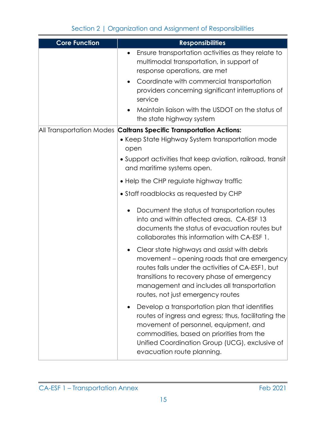| <b>Core Function</b>     | <b>Responsibilities</b>                                                                                                                                                                                                                                                                       |
|--------------------------|-----------------------------------------------------------------------------------------------------------------------------------------------------------------------------------------------------------------------------------------------------------------------------------------------|
|                          | Ensure transportation activities as they relate to<br>multimodal transportation, in support of<br>response operations, are met                                                                                                                                                                |
|                          | Coordinate with commercial transportation<br>providers concerning significant interruptions of<br>service                                                                                                                                                                                     |
|                          | Maintain liaison with the USDOT on the status of<br>the state highway system                                                                                                                                                                                                                  |
| All Transportation Modes | <b>Caltrans Specific Transportation Actions:</b>                                                                                                                                                                                                                                              |
|                          | • Keep State Highway System transportation mode<br>open                                                                                                                                                                                                                                       |
|                          | • Support activities that keep aviation, railroad, transit<br>and maritime systems open.                                                                                                                                                                                                      |
|                          | • Help the CHP regulate highway traffic                                                                                                                                                                                                                                                       |
|                          | • Staff roadblocks as requested by CHP                                                                                                                                                                                                                                                        |
|                          | Document the status of transportation routes<br>into and within affected areas. CA-ESF 13<br>documents the status of evacuation routes but<br>collaborates this information with CA-ESF 1.                                                                                                    |
|                          | Clear state highways and assist with debris<br>$\bullet$<br>movement – opening roads that are emergency<br>routes falls under the activities of CA-ESF1, but<br>transitions to recovery phase of emergency<br>management and includes all transportation<br>routes, not just emergency routes |
|                          | Develop a transportation plan that identifies<br>routes of ingress and egress; thus, facilitating the<br>movement of personnel, equipment, and<br>commodities, based on priorities from the<br>Unified Coordination Group (UCG), exclusive of<br>evacuation route planning.                   |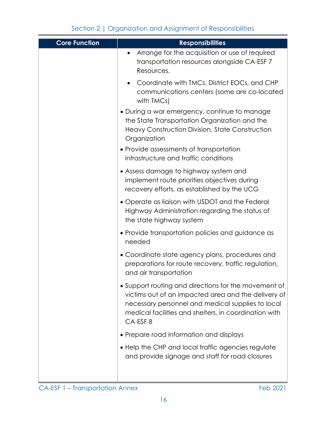| <b>Core Function</b> | <b>Responsibilities</b>                                                                                                                                                                                                              |
|----------------------|--------------------------------------------------------------------------------------------------------------------------------------------------------------------------------------------------------------------------------------|
|                      | Arrange for the acquisition or use of required<br>transportation resources alongside CA-ESF 7<br>Resources.                                                                                                                          |
|                      | Coordinate with TMCs, District EOCs, and CHP<br>communications centers (some are co-located<br>with TMCs)                                                                                                                            |
|                      | · During a war emergency, continue to manage<br>the State Transportation Organization and the<br>Heavy Construction Division, State Construction<br>Organization                                                                     |
|                      | • Provide assessments of transportation<br>infrastructure and traffic conditions                                                                                                                                                     |
|                      | • Assess damage to highway system and<br>implement route priorities objectives during<br>recovery efforts, as established by the UCG                                                                                                 |
|                      | • Operate as liaison with USDOT and the Federal<br>Highway Administration regarding the status of<br>the state highway system                                                                                                        |
|                      | • Provide transportation policies and guidance as<br>needed                                                                                                                                                                          |
|                      | • Coordinate state agency plans, procedures and<br>preparations for route recovery, traffic regulation,<br>and air transportation                                                                                                    |
|                      | • Support routing and directions for the movement of<br>victims out of an impacted area and the delivery of<br>necessary personnel and medical supplies to local<br>medical facilities and shelters, in coordination with<br>CA-ESF8 |
|                      | • Prepare road information and displays                                                                                                                                                                                              |
|                      | • Help the CHP and local traffic agencies regulate<br>and provide signage and staff for road closures                                                                                                                                |
|                      |                                                                                                                                                                                                                                      |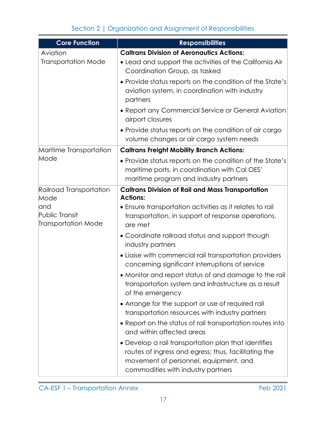| <b>Core Function</b>                                 | <b>Responsibilities</b>                                                                                                                                                                     |
|------------------------------------------------------|---------------------------------------------------------------------------------------------------------------------------------------------------------------------------------------------|
| Aviation                                             | <b>Caltrans Division of Aeronautics Actions:</b>                                                                                                                                            |
| <b>Transportation Mode</b>                           | • Lead and support the activities of the California Air<br>Coordination Group, as tasked                                                                                                    |
|                                                      | • Provide status reports on the condition of the State's<br>aviation system, in coordination with industry<br>partners                                                                      |
|                                                      | • Report any Commercial Service or General Aviation<br>airport closures                                                                                                                     |
|                                                      | • Provide status reports on the condition of air cargo<br>volume changes or air cargo system needs                                                                                          |
| Maritime Transportation                              | <b>Caltrans Freight Mobility Branch Actions:</b>                                                                                                                                            |
| Mode                                                 | • Provide status reports on the condition of the State's<br>maritime ports, in coordination with Cal OES'<br>maritime program and industry partners                                         |
| Railroad Transportation                              | <b>Caltrans Division of Rail and Mass Transportation</b>                                                                                                                                    |
| Mode                                                 | <b>Actions:</b>                                                                                                                                                                             |
| land<br>Public Transit<br><b>Transportation Mode</b> | • Ensure transportation activities as it relates to rail<br>transportation, in support of response operations,<br>are met                                                                   |
|                                                      | • Coordinate railroad status and support though<br>industry partners                                                                                                                        |
|                                                      | • Liaise with commercial rail transportation providers<br>concerning significant interruptions of service                                                                                   |
|                                                      | • Monitor and report status of and damage to the rail<br>transportation system and infrastructure as a result<br>of the emergency                                                           |
|                                                      | • Arrange for the support or use of required rail<br>transportation resources with industry partners                                                                                        |
|                                                      | • Report on the status of rail transportation routes into<br>and within affected areas                                                                                                      |
|                                                      | • Develop a rail transportation plan that identifies<br>routes of ingress and egress; thus, facilitating the<br>movement of personnel, equipment, and<br>commodities with industry partners |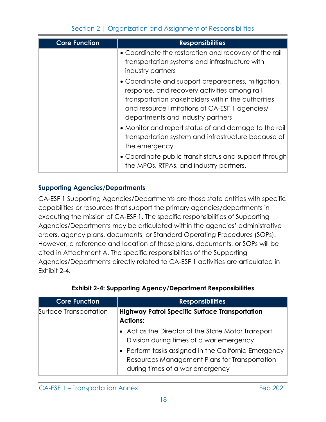| <b>Core Function</b> | <b>Responsibilities</b>                                                                                                                                                                                                                         |
|----------------------|-------------------------------------------------------------------------------------------------------------------------------------------------------------------------------------------------------------------------------------------------|
|                      | • Coordinate the restoration and recovery of the rail<br>transportation systems and infrastructure with<br>industry partners                                                                                                                    |
|                      | • Coordinate and support preparedness, mitigation,<br>response, and recovery activities among rail<br>transportation stakeholders within the authorities<br>and resource limitations of CA-ESF 1 agencies/<br>departments and industry partners |
|                      | • Monitor and report status of and damage to the rail<br>transportation system and infrastructure because of<br>the emergency                                                                                                                   |
|                      | • Coordinate public transit status and support through<br>the MPOs, RTPAs, and industry partners.                                                                                                                                               |

## **Supporting Agencies/Departments**

CA-ESF 1 Supporting Agencies/Departments are those state entities with specific capabilities or resources that support the primary agencies/departments in executing the mission of CA-ESF 1. The specific responsibilities of Supporting Agencies/Departments may be articulated within the agencies' administrative orders, agency plans, documents, or Standard Operating Procedures (SOPs). However, a reference and location of those plans, documents, or SOPs will be cited in Attachment A. The specific responsibilities of the Supporting Agencies/Departments directly related to CA-ESF 1 activities are articulated in Exhibit 2-4.

| <b>Core Function</b>   | <b>Responsibilities</b>                                                                                                                                                                                                                    |
|------------------------|--------------------------------------------------------------------------------------------------------------------------------------------------------------------------------------------------------------------------------------------|
| Surface Transportation | <b>Highway Patrol Specific Surface Transportation</b><br><b>Actions:</b>                                                                                                                                                                   |
|                        | • Act as the Director of the State Motor Transport<br>Division during times of a war emergency<br>• Perform tasks assigned in the California Emergency<br>Resources Management Plans for Transportation<br>during times of a war emergency |

## **Exhibit 2-4: Supporting Agency/Department Responsibilities**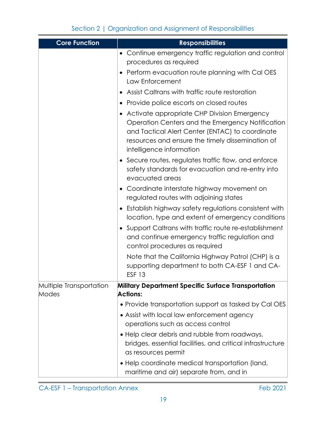| <b>Core Function</b>             | <b>Responsibilities</b>                                                                                                                                                                                                              |
|----------------------------------|--------------------------------------------------------------------------------------------------------------------------------------------------------------------------------------------------------------------------------------|
|                                  | • Continue emergency traffic regulation and control<br>procedures as required<br>Perform evacuation route planning with Cal OES                                                                                                      |
|                                  | Law Enforcement                                                                                                                                                                                                                      |
|                                  | Assist Caltrans with traffic route restoration                                                                                                                                                                                       |
|                                  | Provide police escorts on closed routes<br>$\bullet$                                                                                                                                                                                 |
|                                  | • Activate appropriate CHP Division Emergency<br>Operation Centers and the Emergency Notification<br>and Tactical Alert Center (ENTAC) to coordinate<br>resources and ensure the timely dissemination of<br>intelligence information |
|                                  | • Secure routes, regulates traffic flow, and enforce<br>safety standards for evacuation and re-entry into<br>evacuated areas                                                                                                         |
|                                  | • Coordinate interstate highway movement on<br>regulated routes with adjoining states                                                                                                                                                |
|                                  | • Establish highway safety regulations consistent with<br>location, type and extent of emergency conditions                                                                                                                          |
|                                  | • Support Caltrans with traffic route re-establishment<br>and continue emergency traffic regulation and<br>control procedures as required                                                                                            |
|                                  | Note that the California Highway Patrol (CHP) is a<br>supporting department to both CA-ESF 1 and CA-<br><b>ESF 13</b>                                                                                                                |
| Multiple Transportation<br>Modes | <b>Military Department Specific Surface Transportation</b><br><b>Actions:</b>                                                                                                                                                        |
|                                  | • Provide transportation support as tasked by Cal OES                                                                                                                                                                                |
|                                  | • Assist with local law enforcement agency                                                                                                                                                                                           |
|                                  | operations such as access control                                                                                                                                                                                                    |
|                                  | • Help clear debris and rubble from roadways,<br>bridges, essential facilities, and critical infrastructure<br>as resources permit                                                                                                   |
|                                  | • Help coordinate medical transportation (land,<br>maritime and air) separate from, and in                                                                                                                                           |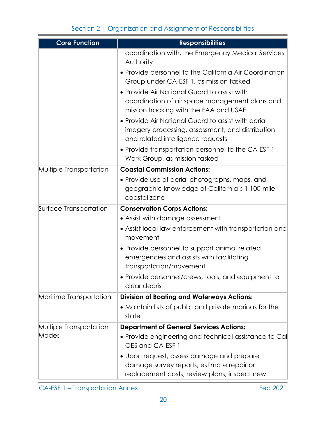| <b>Core Function</b>    | <b>Responsibilities</b>                                                                                                                     |  |  |  |  |
|-------------------------|---------------------------------------------------------------------------------------------------------------------------------------------|--|--|--|--|
|                         | coordination with, the Emergency Medical Services<br>Authority                                                                              |  |  |  |  |
|                         | • Provide personnel to the California Air Coordination<br>Group under CA-ESF 1, as mission tasked                                           |  |  |  |  |
|                         | . Provide Air National Guard to assist with<br>coordination of air space management plans and<br>mission tracking with the FAA and USAF.    |  |  |  |  |
|                         | • Provide Air National Guard to assist with aerial<br>imagery processing, assessment, and distribution<br>and related intelligence requests |  |  |  |  |
|                         | • Provide transportation personnel to the CA-ESF 1<br>Work Group, as mission tasked                                                         |  |  |  |  |
| Multiple Transportation | <b>Coastal Commission Actions:</b>                                                                                                          |  |  |  |  |
|                         | • Provide use of aerial photographs, maps, and<br>geographic knowledge of California's 1,100-mile<br>coastal zone                           |  |  |  |  |
| Surface Transportation  | <b>Conservation Corps Actions:</b>                                                                                                          |  |  |  |  |
|                         | • Assist with damage assessment                                                                                                             |  |  |  |  |
|                         | • Assist local law enforcement with transportation and<br>movement                                                                          |  |  |  |  |
|                         | • Provide personnel to support animal related<br>emergencies and assists with facilitating<br>transportation/movement                       |  |  |  |  |
|                         | • Provide personnel/crews, tools, and equipment to<br>clear debris                                                                          |  |  |  |  |
| Maritime Transportation | <b>Division of Boating and Waterways Actions:</b>                                                                                           |  |  |  |  |
|                         | • Maintain lists of public and private marinas for the<br>state                                                                             |  |  |  |  |
| Multiple Transportation | <b>Department of General Services Actions:</b>                                                                                              |  |  |  |  |
| Modes                   | • Provide engineering and technical assistance to Cal<br>OES and CA-ESF 1                                                                   |  |  |  |  |
|                         | • Upon request, assess damage and prepare                                                                                                   |  |  |  |  |
|                         | damage survey reports, estimate repair or                                                                                                   |  |  |  |  |
|                         | replacement costs, review plans, inspect new                                                                                                |  |  |  |  |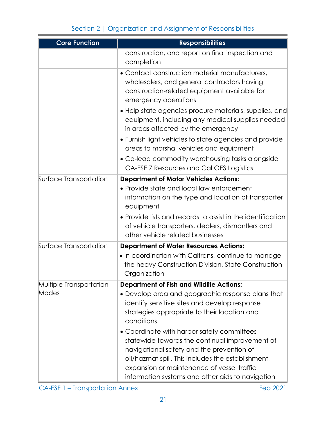| <b>Core Function</b>    | <b>Responsibilities</b>                                                                                                                                                                                                                                                                           |  |  |  |  |
|-------------------------|---------------------------------------------------------------------------------------------------------------------------------------------------------------------------------------------------------------------------------------------------------------------------------------------------|--|--|--|--|
|                         | construction, and report on final inspection and<br>completion                                                                                                                                                                                                                                    |  |  |  |  |
|                         | • Contact construction material manufacturers,<br>wholesalers, and general contractors having<br>construction-related equipment available for<br>emergency operations                                                                                                                             |  |  |  |  |
|                         | • Help state agencies procure materials, supplies, and<br>equipment, including any medical supplies needed<br>in areas affected by the emergency                                                                                                                                                  |  |  |  |  |
|                         | . Furnish light vehicles to state agencies and provide<br>areas to marshal vehicles and equipment                                                                                                                                                                                                 |  |  |  |  |
|                         | • Co-lead commodity warehousing tasks alongside<br>CA-ESF 7 Resources and Cal OES Logistics                                                                                                                                                                                                       |  |  |  |  |
| Surface Transportation  | <b>Department of Motor Vehicles Actions:</b>                                                                                                                                                                                                                                                      |  |  |  |  |
|                         | • Provide state and local law enforcement<br>information on the type and location of transporter<br>equipment                                                                                                                                                                                     |  |  |  |  |
|                         | • Provide lists and records to assist in the identification<br>of vehicle transporters, dealers, dismantlers and<br>other vehicle related businesses                                                                                                                                              |  |  |  |  |
| Surface Transportation  | <b>Department of Water Resources Actions:</b>                                                                                                                                                                                                                                                     |  |  |  |  |
|                         | • In coordination with Caltrans, continue to manage<br>the heavy Construction Division, State Construction<br>Organization                                                                                                                                                                        |  |  |  |  |
| Multiple Transportation | <b>Department of Fish and Wildlife Actions:</b>                                                                                                                                                                                                                                                   |  |  |  |  |
| Modes                   | • Develop area and geographic response plans that<br>identify sensitive sites and develop response<br>strategies appropriate to their location and<br>conditions                                                                                                                                  |  |  |  |  |
|                         | • Coordinate with harbor safety committees<br>statewide towards the continual improvement of<br>navigational safety and the prevention of<br>oil/hazmat spill. This includes the establishment,<br>expansion or maintenance of vessel traffic<br>information systems and other aids to navigation |  |  |  |  |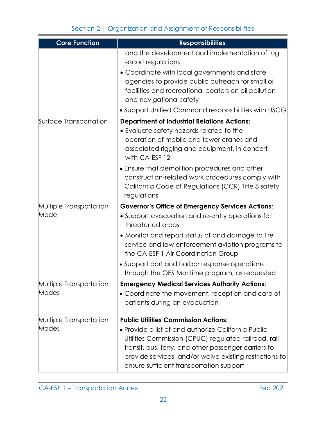| <b>Core Function</b>             | <b>Responsibilities</b>                                                                                                                                                                                                                                                    |  |  |  |  |
|----------------------------------|----------------------------------------------------------------------------------------------------------------------------------------------------------------------------------------------------------------------------------------------------------------------------|--|--|--|--|
|                                  | and the development and implementation of tug<br>escort regulations                                                                                                                                                                                                        |  |  |  |  |
|                                  | • Coordinate with local governments and state<br>agencies to provide public outreach for small oil<br>facilities and recreational boaters on oil pollution<br>and navigational safety                                                                                      |  |  |  |  |
|                                  | . Support Unified Command responsibilities with USCG                                                                                                                                                                                                                       |  |  |  |  |
| Surface Transportation           | <b>Department of Industrial Relations Actions:</b><br>• Evaluate safety hazards related to the<br>operation of mobile and tower cranes and<br>associated rigging and equipment, in concert<br>with CA-ESF 12                                                               |  |  |  |  |
|                                  | • Ensure that demolition procedures and other<br>construction-related work procedures comply with<br>California Code of Regulations (CCR) Title 8 safety<br>regulations                                                                                                    |  |  |  |  |
| Multiple Transportation          | <b>Governor's Office of Emergency Services Actions:</b>                                                                                                                                                                                                                    |  |  |  |  |
| Mode                             | • Support evacuation and re-entry operations for<br>threatened areas                                                                                                                                                                                                       |  |  |  |  |
|                                  | • Monitor and report status of and damage to fire<br>service and law enforcement aviation programs to<br>the CA-ESF 1 Air Coordination Group                                                                                                                               |  |  |  |  |
|                                  | • Support port and harbor response operations<br>through the OES Maritime program, as requested                                                                                                                                                                            |  |  |  |  |
| Multiple Transportation<br>Modes | <b>Emergency Medical Services Authority Actions:</b><br>• Coordinate the movement, reception and care of<br>patients during an evacuation                                                                                                                                  |  |  |  |  |
| Multiple Transportation          | <b>Public Utilities Commission Actions:</b>                                                                                                                                                                                                                                |  |  |  |  |
| Modes                            | • Provide a list of and authorize California Public<br>Utilities Commission (CPUC)-regulated railroad, rail<br>transit, bus, ferry, and other passenger carriers to<br>provide services, and/or waive existing restrictions to<br>ensure sufficient transportation support |  |  |  |  |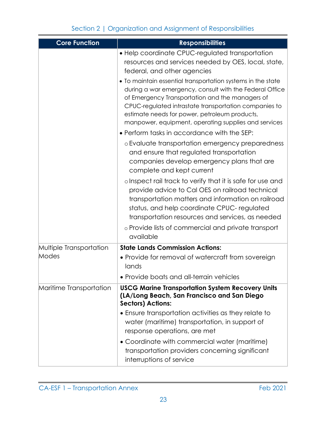| <b>Core Function</b>    | <b>Responsibilities</b>                                                                                                                                                                                                                                                                                                                     |  |  |  |
|-------------------------|---------------------------------------------------------------------------------------------------------------------------------------------------------------------------------------------------------------------------------------------------------------------------------------------------------------------------------------------|--|--|--|
|                         | • Help coordinate CPUC-regulated transportation<br>resources and services needed by OES, local, state,<br>federal, and other agencies                                                                                                                                                                                                       |  |  |  |
|                         | • To maintain essential transportation systems in the state<br>during a war emergency, consult with the Federal Office<br>of Emergency Transportation and the managers of<br>CPUC-regulated intrastate transportation companies to<br>estimate needs for power, petroleum products,<br>manpower, equipment, operating supplies and services |  |  |  |
|                         | • Perform tasks in accordance with the SEP:                                                                                                                                                                                                                                                                                                 |  |  |  |
|                         | o Evaluate transportation emergency preparedness<br>and ensure that regulated transportation<br>companies develop emergency plans that are<br>complete and kept current                                                                                                                                                                     |  |  |  |
|                         | olnspect rail track to verify that it is safe for use and<br>provide advice to Cal OES on railroad technical<br>transportation matters and information on railroad<br>status, and help coordinate CPUC-regulated<br>transportation resources and services, as needed                                                                        |  |  |  |
|                         | o Provide lists of commercial and private transport<br>available                                                                                                                                                                                                                                                                            |  |  |  |
| Multiple Transportation | <b>State Lands Commission Actions:</b>                                                                                                                                                                                                                                                                                                      |  |  |  |
| Modes                   | • Provide for removal of watercraft from sovereign<br>lands                                                                                                                                                                                                                                                                                 |  |  |  |
|                         | • Provide boats and all-terrain vehicles                                                                                                                                                                                                                                                                                                    |  |  |  |
| Maritime Transportation | <b>USCG Marine Transportation System Recovery Units</b><br>(LA/Long Beach, San Francisco and San Diego<br><b>Sectors) Actions:</b>                                                                                                                                                                                                          |  |  |  |
|                         | • Ensure transportation activities as they relate to<br>water (maritime) transportation, in support of<br>response operations, are met                                                                                                                                                                                                      |  |  |  |
|                         | • Coordinate with commercial water (maritime)<br>transportation providers concerning significant<br>interruptions of service                                                                                                                                                                                                                |  |  |  |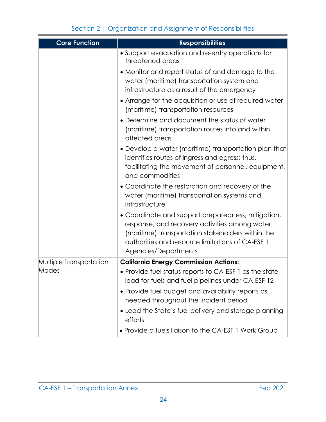| <b>Core Function</b>    | <b>Responsibilities</b>                                                                                                                                                                                                              |  |  |  |
|-------------------------|--------------------------------------------------------------------------------------------------------------------------------------------------------------------------------------------------------------------------------------|--|--|--|
|                         | • Support evacuation and re-entry operations for<br>threatened areas                                                                                                                                                                 |  |  |  |
|                         | • Monitor and report status of and damage to the<br>water (maritime) transportation system and<br>infrastructure as a result of the emergency                                                                                        |  |  |  |
|                         | • Arrange for the acquisition or use of required water<br>(maritime) transportation resources                                                                                                                                        |  |  |  |
|                         | • Determine and document the status of water<br>(maritime) transportation routes into and within<br>affected areas                                                                                                                   |  |  |  |
|                         | • Develop a water (maritime) transportation plan that<br>identifies routes of ingress and egress; thus,<br>facilitating the movement of personnel, equipment,<br>and commodities                                                     |  |  |  |
|                         | • Coordinate the restoration and recovery of the<br>water (maritime) transportation systems and<br>infrastructure                                                                                                                    |  |  |  |
|                         | • Coordinate and support preparedness, mitigation,<br>response, and recovery activities among water<br>(maritime) transportation stakeholders within the<br>authorities and resource limitations of CA-ESF 1<br>Agencies/Departments |  |  |  |
| Multiple Transportation | <b>California Energy Commission Actions:</b>                                                                                                                                                                                         |  |  |  |
| Modes                   | • Provide fuel status reports to CA-ESF 1 as the state<br>lead for fuels and fuel pipelines under CA-ESF 12                                                                                                                          |  |  |  |
|                         | • Provide fuel budget and availability reports as<br>needed throughout the incident period                                                                                                                                           |  |  |  |
|                         | • Lead the State's fuel delivery and storage planning<br>efforts                                                                                                                                                                     |  |  |  |
|                         | • Provide a fuels liaison to the CA-ESF 1 Work Group                                                                                                                                                                                 |  |  |  |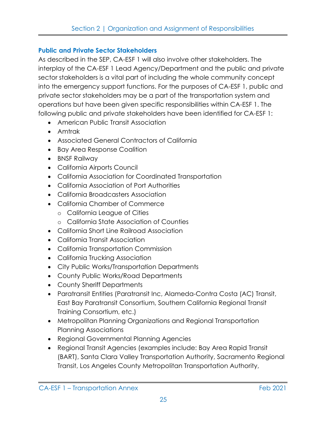## **Public and Private Sector Stakeholders**

As described in the SEP, CA-ESF 1 will also involve other stakeholders. The interplay of the CA-ESF 1 Lead Agency/Department and the public and private sector stakeholders is a vital part of including the whole community concept into the emergency support functions. For the purposes of CA-ESF 1, public and private sector stakeholders may be a part of the transportation system and operations but have been given specific responsibilities within CA-ESF 1. The following public and private stakeholders have been identified for CA-ESF 1:

- American Public Transit Association
- Amtrak
- Associated General Contractors of California
- Bay Area Response Coalition
- BNSF Railway
- California Airports Council
- California Association for Coordinated Transportation
- California Association of Port Authorities
- California Broadcasters Association
- California Chamber of Commerce
	- o California League of Cities
	- o California State Association of Counties
- California Short Line Railroad Association
- California Transit Association
- California Transportation Commission
- California Trucking Association
- City Public Works/Transportation Departments
- County Public Works/Road Departments
- County Sheriff Departments
- Paratransit Entities (Paratransit Inc, Alameda-Contra Costa (AC) Transit, East Bay Paratransit Consortium, Southern California Regional Transit Training Consortium, etc.)
- Metropolitan Planning Organizations and Regional Transportation Planning Associations
- Regional Governmental Planning Agencies
- Regional Transit Agencies (examples include: Bay Area Rapid Transit (BART), Santa Clara Valley Transportation Authority, Sacramento Regional Transit, Los Angeles County Metropolitan Transportation Authority,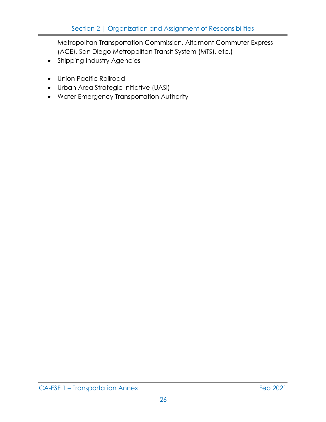Metropolitan Transportation Commission, Altamont Commuter Express (ACE), San Diego Metropolitan Transit System (MTS), etc.)

- Shipping Industry Agencies
- Union Pacific Railroad
- Urban Area Strategic Initiative (UASI)
- Water Emergency Transportation Authority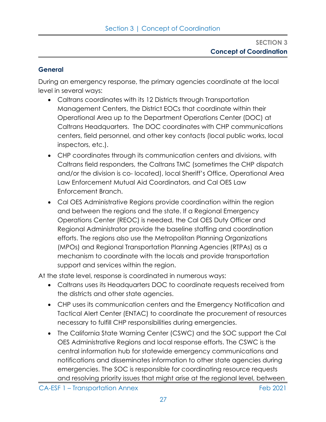## **General**

During an emergency response, the primary agencies coordinate at the local level in several ways:

- Caltrans coordinates with its 12 Districts through Transportation Management Centers, the District EOCs that coordinate within their Operational Area up to the Department Operations Center (DOC) at Caltrans Headquarters. The DOC coordinates with CHP communications centers, field personnel, and other key contacts (local public works, local inspectors, etc.).
- CHP coordinates through its communication centers and divisions, with Caltrans field responders, the Caltrans TMC (sometimes the CHP dispatch and/or the division is co- located), local Sheriff's Office, Operational Area Law Enforcement Mutual Aid Coordinators, and Cal OES Law Enforcement Branch.
- Cal OES Administrative Regions provide coordination within the region and between the regions and the state. If a Regional Emergency Operations Center (REOC) is needed, the Cal OES Duty Officer and Regional Administrator provide the baseline staffing and coordination efforts. The regions also use the Metropolitan Planning Organizations (MPOs) and Regional Transportation Planning Agencies (RTPAs) as a mechanism to coordinate with the locals and provide transportation support and services within the region.

At the state level, response is coordinated in numerous ways:

- Caltrans uses its Headquarters DOC to coordinate requests received from the districts and other state agencies.
- CHP uses its communication centers and the Emergency Notification and Tactical Alert Center (ENTAC) to coordinate the procurement of resources necessary to fulfill CHP responsibilities during emergencies.
- The California State Warning Center (CSWC) and the SOC support the Cal OES Administrative Regions and local response efforts. The CSWC is the central information hub for statewide emergency communications and notifications and disseminates information to other state agencies during emergencies. The SOC is responsible for coordinating resource requests and resolving priority issues that might arise at the regional level, between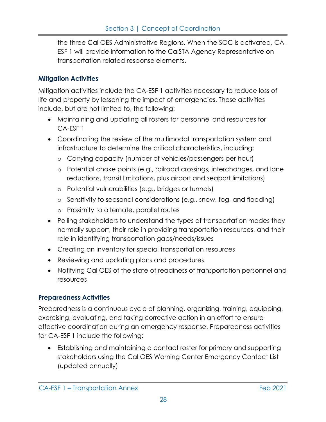the three Cal OES Administrative Regions. When the SOC is activated, CA-ESF 1 will provide information to the CalSTA Agency Representative on transportation related response elements.

## **Mitigation Activities**

Mitigation activities include the CA-ESF 1 activities necessary to reduce loss of life and property by lessening the impact of emergencies. These activities include, but are not limited to, the following:

- Maintaining and updating all rosters for personnel and resources for CA-ESF 1
- Coordinating the review of the multimodal transportation system and infrastructure to determine the critical characteristics, including:
	- o Carrying capacity (number of vehicles/passengers per hour)
	- o Potential choke points (e.g., railroad crossings, interchanges, and lane reductions, transit limitations, plus airport and seaport limitations)
	- o Potential vulnerabilities (e.g., bridges or tunnels)
	- o Sensitivity to seasonal considerations (e.g., snow, fog, and flooding)
	- o Proximity to alternate, parallel routes
- Polling stakeholders to understand the types of transportation modes they normally support, their role in providing transportation resources, and their role in identifying transportation gaps/needs/issues
- Creating an inventory for special transportation resources
- Reviewing and updating plans and procedures
- Notifying Cal OES of the state of readiness of transportation personnel and resources

## **Preparedness Activities**

Preparedness is a continuous cycle of planning, organizing, training, equipping, exercising, evaluating, and taking corrective action in an effort to ensure effective coordination during an emergency response. Preparedness activities for CA-ESF 1 include the following:

• Establishing and maintaining a contact roster for primary and supporting stakeholders using the Cal OES Warning Center Emergency Contact List (updated annually)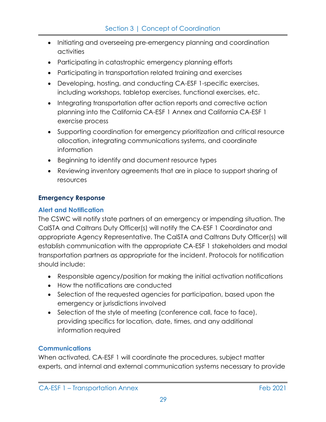- Initiating and overseeing pre-emergency planning and coordination activities
- Participating in catastrophic emergency planning efforts
- Participating in transportation related training and exercises
- Developing, hosting, and conducting CA-ESF 1-specific exercises, including workshops, tabletop exercises, functional exercises, etc.
- Integrating transportation after action reports and corrective action planning into the California CA-ESF 1 Annex and California CA-ESF 1 exercise process
- Supporting coordination for emergency prioritization and critical resource allocation, integrating communications systems, and coordinate information
- Beginning to identify and document resource types
- Reviewing inventory agreements that are in place to support sharing of resources

## **Emergency Response**

## **Alert and Notification**

The CSWC will notify state partners of an emergency or impending situation. The CalSTA and Caltrans Duty Officer(s) will notify the CA-ESF 1 Coordinator and appropriate Agency Representative. The CalSTA and Caltrans Duty Officer(s) will establish communication with the appropriate CA-ESF 1 stakeholders and modal transportation partners as appropriate for the incident. Protocols for notification should include:

- Responsible agency/position for making the initial activation notifications
- How the notifications are conducted
- Selection of the requested agencies for participation, based upon the emergency or jurisdictions involved
- Selection of the style of meeting (conference call, face to face), providing specifics for location, date, times, and any additional information required

## **Communications**

When activated, CA-ESF 1 will coordinate the procedures, subject matter experts, and internal and external communication systems necessary to provide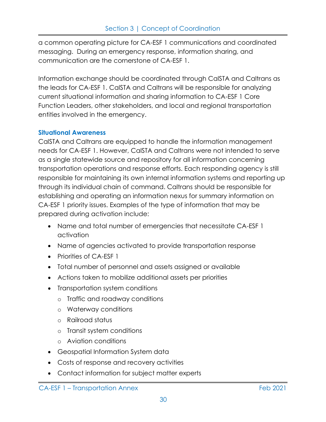a common operating picture for CA-ESF 1 communications and coordinated messaging. During an emergency response, information sharing, and communication are the cornerstone of CA-ESF 1.

Information exchange should be coordinated through CalSTA and Caltrans as the leads for CA-ESF 1. CalSTA and Caltrans will be responsible for analyzing current situational information and sharing information to CA-ESF 1 Core Function Leaders, other stakeholders, and local and regional transportation entities involved in the emergency.

#### **Situational Awareness**

CalSTA and Caltrans are equipped to handle the information management needs for CA-ESF 1. However, CalSTA and Caltrans were not intended to serve as a single statewide source and repository for all information concerning transportation operations and response efforts. Each responding agency is still responsible for maintaining its own internal information systems and reporting up through its individual chain of command. Caltrans should be responsible for establishing and operating an information nexus for summary information on CA-ESF 1 priority issues. Examples of the type of information that may be prepared during activation include:

- Name and total number of emergencies that necessitate CA-ESF 1 activation
- Name of agencies activated to provide transportation response
- Priorities of CA-FSF 1
- Total number of personnel and assets assigned or available
- Actions taken to mobilize additional assets per priorities
- Transportation system conditions
	- o Traffic and roadway conditions
	- o Waterway conditions
	- o Railroad status
	- o Transit system conditions
	- o Aviation conditions
- Geospatial Information System data
- Costs of response and recovery activities
- Contact information for subject matter experts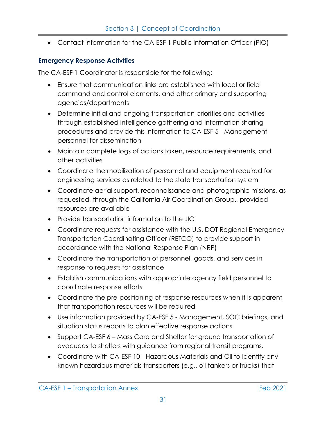• Contact information for the CA-ESF 1 Public Information Officer (PIO)

## **Emergency Response Activities**

The CA-ESF 1 Coordinator is responsible for the following:

- Ensure that communication links are established with local or field command and control elements, and other primary and supporting agencies/departments
- Determine initial and ongoing transportation priorities and activities through established intelligence gathering and information sharing procedures and provide this information to CA-ESF 5 - Management personnel for dissemination
- Maintain complete logs of actions taken, resource requirements, and other activities
- Coordinate the mobilization of personnel and equipment required for engineering services as related to the state transportation system
- Coordinate aerial support, reconnaissance and photographic missions, as requested, through the California Air Coordination Group., provided resources are available
- Provide transportation information to the JIC
- Coordinate requests for assistance with the U.S. DOT Regional Emergency Transportation Coordinating Officer (RETCO) to provide support in accordance with the National Response Plan (NRP)
- Coordinate the transportation of personnel, goods, and services in response to requests for assistance
- Establish communications with appropriate agency field personnel to coordinate response efforts
- Coordinate the pre-positioning of response resources when it is apparent that transportation resources will be required
- Use information provided by CA-ESF 5 Management, SOC briefings, and situation status reports to plan effective response actions
- Support CA-ESF 6 Mass Care and Shelter for ground transportation of evacuees to shelters with guidance from regional transit programs.
- Coordinate with CA-ESF 10 Hazardous Materials and Oil to identify any known hazardous materials transporters (e.g., oil tankers or trucks) that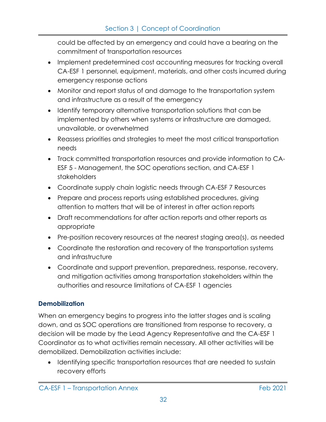could be affected by an emergency and could have a bearing on the commitment of transportation resources

- Implement predetermined cost accounting measures for tracking overall CA-ESF 1 personnel, equipment, materials, and other costs incurred during emergency response actions
- Monitor and report status of and damage to the transportation system and infrastructure as a result of the emergency
- Identify temporary alternative transportation solutions that can be implemented by others when systems or infrastructure are damaged, unavailable, or overwhelmed
- Reassess priorities and strategies to meet the most critical transportation needs
- Track committed transportation resources and provide information to CA-ESF 5 - Management, the SOC operations section, and CA-ESF 1 stakeholders
- Coordinate supply chain logistic needs through CA-ESF 7 Resources
- Prepare and process reports using established procedures, giving attention to matters that will be of interest in after action reports
- Draft recommendations for after action reports and other reports as appropriate
- Pre-position recovery resources at the nearest staging area(s), as needed
- Coordinate the restoration and recovery of the transportation systems and infrastructure
- Coordinate and support prevention, preparedness, response, recovery, and mitigation activities among transportation stakeholders within the authorities and resource limitations of CA-ESF 1 agencies

## **Demobilization**

When an emergency begins to progress into the latter stages and is scaling down, and as SOC operations are transitioned from response to recovery, a decision will be made by the Lead Agency Representative and the CA-ESF 1 Coordinator as to what activities remain necessary. All other activities will be demobilized. Demobilization activities include:

• Identifying specific transportation resources that are needed to sustain recovery efforts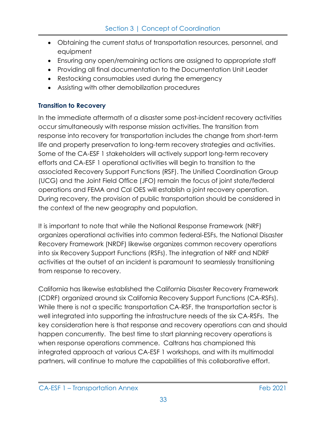- Obtaining the current status of transportation resources, personnel, and equipment
- Ensuring any open/remaining actions are assigned to appropriate staff
- Providing all final documentation to the Documentation Unit Leader
- Restocking consumables used during the emergency
- Assisting with other demobilization procedures

## **Transition to Recovery**

In the immediate aftermath of a disaster some post-incident recovery activities occur simultaneously with response mission activities. The transition from response into recovery for transportation includes the change from short-term life and property preservation to long-term recovery strategies and activities. Some of the CA-ESF 1 stakeholders will actively support long-term recovery efforts and CA-ESF 1 operational activities will begin to transition to the associated Recovery Support Functions (RSF). The Unified Coordination Group (UCG) and the Joint Field Office (JFO) remain the focus of joint state/federal operations and FEMA and Cal OES will establish a joint recovery operation. During recovery, the provision of public transportation should be considered in the context of the new geography and population.

It is important to note that while the National Response Framework (NRF) organizes operational activities into common federal-ESFs, the National Disaster Recovery Framework (NRDF) likewise organizes common recovery operations into six Recovery Support Functions (RSFs). The integration of NRF and NDRF activities at the outset of an incident is paramount to seamlessly transitioning from response to recovery.

California has likewise established the California Disaster Recovery Framework (CDRF) organized around six California Recovery Support Functions (CA-RSFs). While there is not a specific transportation CA-RSF, the transportation sector is well integrated into supporting the infrastructure needs of the six CA-RSFs. The key consideration here is that response and recovery operations can and should happen concurrently. The best time to start planning recovery operations is when response operations commence. Caltrans has championed this integrated approach at various CA-ESF 1 workshops, and with its multimodal partners, will continue to mature the capabilities of this collaborative effort.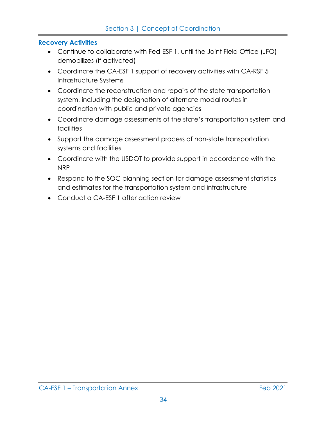#### **Recovery Activities**

- Continue to collaborate with Fed-ESF 1, until the Joint Field Office (JFO) demobilizes (if activated)
- Coordinate the CA-ESF 1 support of recovery activities with CA-RSF 5 Infrastructure Systems
- Coordinate the reconstruction and repairs of the state transportation system, including the designation of alternate modal routes in coordination with public and private agencies
- Coordinate damage assessments of the state's transportation system and facilities
- Support the damage assessment process of non-state transportation systems and facilities
- Coordinate with the USDOT to provide support in accordance with the NRP
- Respond to the SOC planning section for damage assessment statistics and estimates for the transportation system and infrastructure
- Conduct a CA-ESF 1 after action review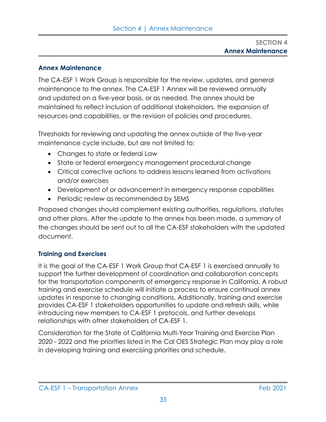#### **Annex Maintenance**

The CA-ESF 1 Work Group is responsible for the review, updates, and general maintenance to the annex. The CA-ESF 1 Annex will be reviewed annually and updated on a five-year basis, or as needed. The annex should be maintained to reflect inclusion of additional stakeholders, the expansion of resources and capabilities, or the revision of policies and procedures.

Thresholds for reviewing and updating the annex outside of the five-year maintenance cycle include, but are not limited to:

- Changes to state or federal Law
- State or federal emergency management procedural change
- Critical corrective actions to address lessons learned from activations and/or exercises
- Development of or advancement in emergency response capabilities
- Periodic review as recommended by SEMS

Proposed changes should complement existing authorities, regulations, statutes and other plans. After the update to the annex has been made, a summary of the changes should be sent out to all the CA-ESF stakeholders with the updated document.

## **Training and Exercises**

It is the goal of the CA-ESF 1 Work Group that CA-ESF 1 is exercised annually to support the further development of coordination and collaboration concepts for the transportation components of emergency response in California. A robust training and exercise schedule will initiate a process to ensure continual annex updates in response to changing conditions. Additionally, training and exercise provides CA-ESF 1 stakeholders opportunities to update and refresh skills, while introducing new members to CA-ESF 1 protocols, and further develops relationships with other stakeholders of CA-ESF 1.

Consideration for the State of California Multi-Year Training and Exercise Plan 2020 - 2022 and the priorities listed in the Cal OES Strategic Plan may play a role in developing training and exercising priorities and schedule.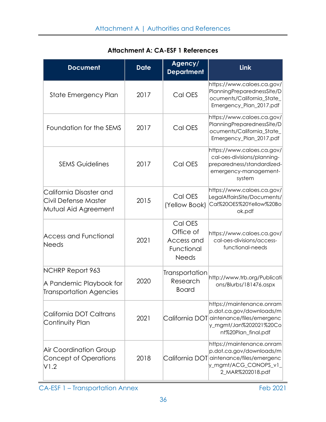| <b>Document</b>                                                                      | <b>Date</b> | Agency/<br><b>Department</b>                                     | <b>Link</b>                                                                                                                                        |
|--------------------------------------------------------------------------------------|-------------|------------------------------------------------------------------|----------------------------------------------------------------------------------------------------------------------------------------------------|
| State Emergency Plan                                                                 | 2017        | Cal OES                                                          | https://www.caloes.ca.gov/<br>PlanningPreparednessSite/D<br>ocuments/California_State_<br>Emergency_Plan_2017.pdf                                  |
| Foundation for the SEMS                                                              | 2017        | Cal OES                                                          | https://www.caloes.ca.gov/<br>PlanningPreparednessSite/D<br>ocuments/California_State_<br>Emergency_Plan_2017.pdf                                  |
| <b>SEMS Guidelines</b>                                                               | 2017        | Cal OES                                                          | https://www.caloes.ca.gov/<br>cal-oes-divisions/planning-<br>preparedness/standardized-<br>emergency-management-<br>system                         |
| California Disaster and<br>Civil Defense Master<br>Mutual Aid Agreement              | 2015        | Cal OES<br>(Yellow Book)                                         | https://www.caloes.ca.gov/<br>LegalAffairsSite/Documents/<br>Cal%20OES%20Yellow%20Bo<br>ok.pdf                                                     |
| <b>Access and Functional</b><br><b>Needs</b>                                         | 2021        | Cal OES<br>Office of<br>Access and<br>Functional<br><b>Needs</b> | https://www.caloes.ca.gov/<br>cal-oes-divisions/access-<br>functional-needs                                                                        |
| <b>NCHRP Report 963</b><br>A Pandemic Playbook for<br><b>Transportation Agencies</b> | 2020        | Transportation<br>Research<br><b>Board</b>                       | http://www.trb.org/Publicati<br>ons/Blurbs/181476.aspx                                                                                             |
| California DOT Caltrans<br>Continuity Plan                                           | 2021        |                                                                  | https://maintenance.onram<br>p.dot.ca.gov/downloads/m<br>California DOT aintenance/files/emergenc<br>y_mgmt/Jan%202021%20Co<br>nt%20Plan_final.pdf |
| <b>Air Coordination Group</b><br>Concept of Operations<br>V1.2                       | 2018        |                                                                  | https://maintenance.onram<br>p.dot.ca.gov/downloads/m<br>California DOT aintenance/files/emergenc<br>y_mgmt/ACG_CONOPS_v1_<br>2_MAR%202018.pdf     |

## **Attachment A: CA-ESF 1 References**

CA-ESF 1 – Transportation Annex Feb 2021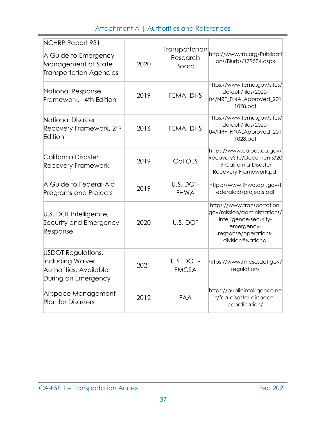## Attachment A | Authorities and References

| NCHRP Report 931<br>A Guide to Emergency<br>Management at State<br><b>Transportation Agencies</b>     | 2020 | Transportation<br>Research<br><b>Board</b> | http://www.trb.org/Publicati<br>ons/Blurbs/179534.aspx                                                                                           |
|-------------------------------------------------------------------------------------------------------|------|--------------------------------------------|--------------------------------------------------------------------------------------------------------------------------------------------------|
| National Response<br>Framework, -4th Edition                                                          | 2019 | FEMA, DHS                                  | https://www.fema.gov/sites/<br>default/files/2020-<br>04/NRF_FINALApproved_201<br>1028.pdf                                                       |
| National Disaster<br>Recovery Framework, 2nd<br><b>Edition</b>                                        | 2016 | FEMA, DHS                                  | https://www.fema.gov/sites/<br>default/files/2020-<br>04/NRF_FINALApproved_201<br>1028.pdf                                                       |
| California Disaster<br><b>Recovery Framework</b>                                                      | 2019 | Cal OES                                    | https://www.caloes.ca.gov/<br>RecoverySite/Documents/20<br>19-California-Disaster-<br>Recovery-Framework.pdf                                     |
| A Guide to Federal-Aid<br>Programs and Projects                                                       | 2019 | U.S. DOT-<br><b>FHWA</b>                   | https://www.fhwa.dot.gov/f<br>ederalaid/projects.pdf                                                                                             |
| U.S. DOT Intelligence,<br>Security and Emergency<br>Response                                          | 2020 | U.S. DOT                                   | https://www.transportation.<br>gov/mission/administrations/<br>intelligence-security-<br>emergency-<br>response/operations-<br>division#National |
| <b>USDOT Regulations,</b><br><b>Including Waiver</b><br>Authorities, Available<br>During an Emergency | 2021 | U.S. DOT -<br><b>FMCSA</b>                 | https://www.fmcsa.dot.gov/<br>regulations                                                                                                        |
| Airspace Management<br><b>Plan for Disasters</b>                                                      | 2012 | FAA                                        | https://publicintelligence.ne<br>t/faa-disaster-airspace-<br>coordination/                                                                       |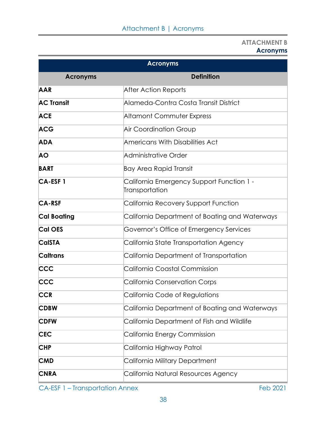#### **ATTACHMENT B Acronyms**

| <b>Acronyms</b>    |                                                             |  |  |  |
|--------------------|-------------------------------------------------------------|--|--|--|
| <b>Acronyms</b>    | <b>Definition</b>                                           |  |  |  |
| <b>AAR</b>         | <b>After Action Reports</b>                                 |  |  |  |
| <b>AC Transit</b>  | Alameda-Contra Costa Transit District                       |  |  |  |
| <b>ACE</b>         | Altamont Commuter Express                                   |  |  |  |
| <b>ACG</b>         | <b>Air Coordination Group</b>                               |  |  |  |
| <b>ADA</b>         | Americans With Disabilities Act                             |  |  |  |
| <b>AO</b>          | Administrative Order                                        |  |  |  |
| <b>BART</b>        | Bay Area Rapid Transit                                      |  |  |  |
| <b>CA-ESF1</b>     | California Emergency Support Function 1 -<br>Transportation |  |  |  |
| <b>CA-RSF</b>      | California Recovery Support Function                        |  |  |  |
| <b>Cal Boating</b> | California Department of Boating and Waterways              |  |  |  |
| <b>Cal OES</b>     | Governor's Office of Emergency Services                     |  |  |  |
| <b>CalSTA</b>      | California State Transportation Agency                      |  |  |  |
| <b>Caltrans</b>    | California Department of Transportation                     |  |  |  |
| <b>CCC</b>         | California Coastal Commission                               |  |  |  |
| <b>CCC</b>         | <b>California Conservation Corps</b>                        |  |  |  |
| CCR                | California Code of Regulations                              |  |  |  |
| <b>CDBW</b>        | California Department of Boating and Waterways              |  |  |  |
| <b>CDFW</b>        | California Department of Fish and Wildlife                  |  |  |  |
| <b>CEC</b>         | California Energy Commission                                |  |  |  |
| <b>CHP</b>         | California Highway Patrol                                   |  |  |  |
| <b>CMD</b>         | California Military Department                              |  |  |  |
| <b>CNRA</b>        | California Natural Resources Agency                         |  |  |  |

CA-ESF 1 – Transportation Annex Feb 2021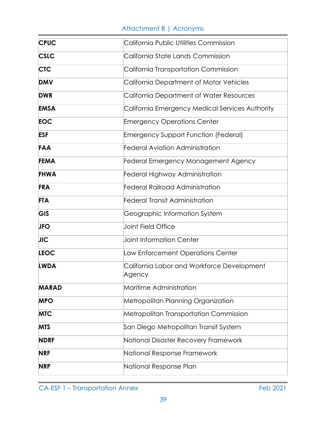## Attachment B | Acronyms

| <b>CPUC</b> | California Public Utilities Commission               |  |  |
|-------------|------------------------------------------------------|--|--|
| <b>CSLC</b> | California State Lands Commission                    |  |  |
| <b>CTC</b>  | California Transportation Commission                 |  |  |
| <b>DMV</b>  | California Department of Motor Vehicles              |  |  |
| <b>DWR</b>  | California Department of Water Resources             |  |  |
| <b>EMSA</b> | California Emergency Medical Services Authority      |  |  |
| <b>EOC</b>  | <b>Emergency Operations Center</b>                   |  |  |
| ESF         | <b>Emergency Support Function (Federal)</b>          |  |  |
| <b>FAA</b>  | <b>Federal Aviation Administration</b>               |  |  |
| <b>FEMA</b> | Federal Emergency Management Agency                  |  |  |
| <b>FHWA</b> | <b>Federal Highway Administration</b>                |  |  |
| <b>FRA</b>  | <b>Federal Railroad Administration</b>               |  |  |
| <b>FTA</b>  | <b>Federal Transit Administration</b>                |  |  |
| GIS         | Geographic Information System                        |  |  |
| <b>JFO</b>  | Joint Field Office                                   |  |  |
| <b>JIC</b>  | <b>Joint Information Center</b>                      |  |  |
| <b>LEOC</b> | Law Enforcement Operations Center                    |  |  |
| <b>LWDA</b> | California Labor and Workforce Development<br>Agency |  |  |
| MARAD       | Maritime Administration                              |  |  |
| <b>MPO</b>  | Metropolitan Planning Organization                   |  |  |
| <b>MTC</b>  | Metropolitan Transportation Commission               |  |  |
| <b>MTS</b>  | San Diego Metropolitan Transit System                |  |  |
| <b>NDRF</b> | National Disaster Recovery Framework                 |  |  |
| <b>NRF</b>  | National Response Framework                          |  |  |
| <b>NRP</b>  | National Response Plan                               |  |  |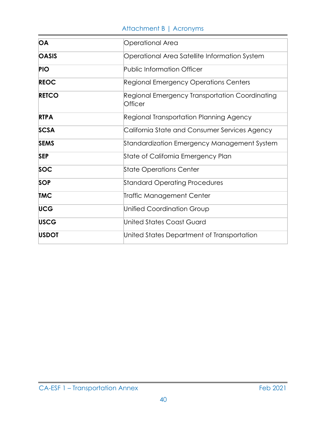## Attachment B | Acronyms

| OA           | Operational Area                                                 |  |  |  |
|--------------|------------------------------------------------------------------|--|--|--|
| <b>OASIS</b> | Operational Area Satellite Information System                    |  |  |  |
| <b>PIO</b>   | <b>Public Information Officer</b>                                |  |  |  |
| <b>REOC</b>  | Regional Emergency Operations Centers                            |  |  |  |
| <b>RETCO</b> | Regional Emergency Transportation Coordinating<br><b>Officer</b> |  |  |  |
| <b>RTPA</b>  | Regional Transportation Planning Agency                          |  |  |  |
| <b>SCSA</b>  | California State and Consumer Services Agency                    |  |  |  |
| <b>SEMS</b>  | Standardization Emergency Management System                      |  |  |  |
| <b>SEP</b>   | State of California Emergency Plan                               |  |  |  |
| <b>SOC</b>   | <b>State Operations Center</b>                                   |  |  |  |
| <b>SOP</b>   | <b>Standard Operating Procedures</b>                             |  |  |  |
| <b>TMC</b>   | Traffic Management Center                                        |  |  |  |
| <b>UCG</b>   | <b>Unified Coordination Group</b>                                |  |  |  |
| <b>USCG</b>  | United States Coast Guard                                        |  |  |  |
| <b>USDOT</b> | United States Department of Transportation                       |  |  |  |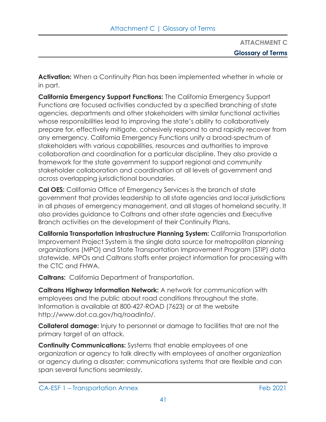**ATTACHMENT C Glossary of Terms**

**Activation:** When a Continuity Plan has been implemented whether in whole or in part.

**California Emergency Support Functions:** The California Emergency Support Functions are focused activities conducted by a specified branching of state agencies, departments and other stakeholders with similar functional activities whose responsibilities lead to improving the state's ability to collaboratively prepare for, effectively mitigate, cohesively respond to and rapidly recover from any emergency. California Emergency Functions unify a broad-spectrum of stakeholders with various capabilities, resources and authorities to improve collaboration and coordination for a particular discipline. They also provide a framework for the state government to support regional and community stakeholder collaboration and coordination at all levels of government and across overlapping jurisdictional boundaries.

**Cal OES:** California Office of Emergency Services is the branch of state government that provides leadership to all state agencies and local jurisdictions in all phases of emergency management, and all stages of homeland security. It also provides guidance to Caltrans and other state agencies and Executive Branch activities on the development of their Continuity Plans.

**California Transportation Infrastructure Planning System:** California Transportation Improvement Project System is the single data source for metropolitan planning organizations (MPO) and State Transportation Improvement Program (STIP) data statewide. MPOs and Caltrans staffs enter project information for processing with the CTC and FHWA.

**Caltrans:** California Department of Transportation.

**Caltrans Highway Information Network:** A network for communication with employees and the public about road conditions throughout the state. Information is available at 800-427-ROAD (7623) or at the websit[e](http://www.dot.ca.gov/hq/roadinfo/) [http://www.dot.ca.gov/hq/roadinfo/.](http://www.dot.ca.gov/hq/roadinfo/)

**Collateral damage:** Injury to personnel or damage to facilities that are not the primary target of an attack.

**Continuity Communications:** Systems that enable employees of one organization or agency to talk directly with employees of another organization or agency during a disaster; communications systems that are flexible and can span several functions seamlessly.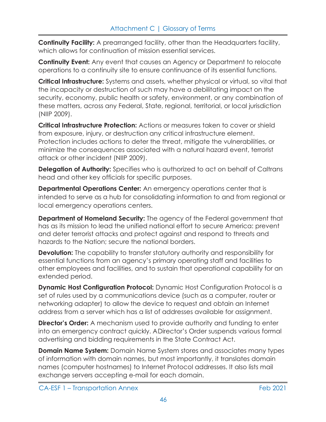**Continuity Facility:** A prearranged facility, other than the Headquarters facility, which allows for continuation of mission essential services.

**Continuity Event:** Any event that causes an Agency or Department to relocate operations to a continuity site to ensure continuance of its essential functions.

**Critical Infrastructure:** Systems and assets, whether physical or virtual, so vital that the incapacity or destruction of such may have a debilitating impact on the security, economy, public health or safety, environment, or any combination of these matters, across any Federal, State, regional, territorial, or local jurisdiction (NIIP 2009).

**Critical Infrastructure Protection:** Actions or measures taken to cover or shield from exposure, injury, or destruction any critical infrastructure element. Protection includes actions to deter the threat, mitigate the vulnerabilities, or minimize the consequences associated with a natural hazard event, terrorist attack or other incident (NIIP 2009).

**Delegation of Authority:** Specifies who is authorized to act on behalf of Caltrans head and other key officials for specific purposes.

**Departmental Operations Center:** An emergency operations center that is intended to serve as a hub for consolidating information to and from regional or local emergency operations centers.

**Department of Homeland Security:** The agency of the Federal government that has as its mission to lead the unified national effort to secure America: prevent and deter terrorist attacks and protect against and respond to threats and hazards to the Nation; secure the national borders.

**Devolution:** The capability to transfer statutory authority and responsibility for essential functions from an agency's primary operating staff and facilities to other employees and facilities, and to sustain that operational capability for an extended period.

**Dynamic Host Configuration Protocol:** Dynamic Host Configuration Protocol is a set of rules used by a communications device (such as a computer, router or networking adapter) to allow the device to request and obtain an Internet address from a server which has a list of addresses available for assignment.

**Director's Order:** A mechanism used to provide authority and funding to enter into an emergency contract quickly. A Director's Order suspends various formal advertising and bidding requirements in the State Contract Act.

**Domain Name System:** Domain Name System stores and associates many types of information with domain names, but most importantly, it translates domain names (computer hostnames) to Internet Protocol addresses. It also lists mail exchange servers accepting e-mail for each domain.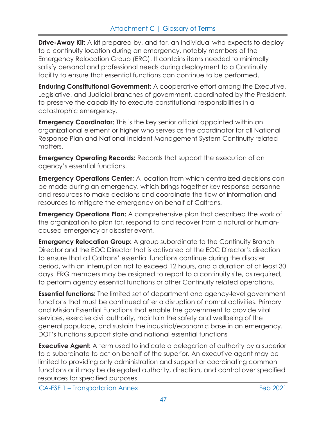**Drive-Away Kit:** A kit prepared by, and for, an individual who expects to deploy to a continuity location during an emergency, notably members of the Emergency Relocation Group (ERG). It contains items needed to minimally satisfy personal and professional needs during deployment to a Continuity facility to ensure that essential functions can continue to be performed.

**Enduring Constitutional Government:** A cooperative effort among the Executive, Legislative, and Judicial branches of government, coordinated by the President, to preserve the capability to execute constitutional responsibilities in a catastrophic emergency.

**Emergency Coordinator:** This is the key senior official appointed within an organizational element or higher who serves as the coordinator for all National Response Plan and National Incident Management System Continuity related matters.

**Emergency Operating Records:** Records that support the execution of an agency's essential functions.

**Emergency Operations Center:** A location from which centralized decisions can be made during an emergency, which brings together key response personnel and resources to make decisions and coordinate the flow of information and resources to mitigate the emergency on behalf of Caltrans.

**Emergency Operations Plan:** A comprehensive plan that described the work of the organization to plan for, respond to and recover from a natural or humancaused emergency or disaster event.

**Emergency Relocation Group:** A group subordinate to the Continuity Branch Director and the EOC Director that is activated at the EOC Director's direction to ensure that all Caltrans' essential functions continue during the disaster period, with an interruption not to exceed 12 hours, and a duration of at least 30 days. ERG members may be assigned to report to a continuity site, as required, to perform agency essential functions or other Continuity related operations.

**Essential functions:** The limited set of department and agency-level government functions that must be continued after a disruption of normal activities. Primary and Mission Essential Functions that enable the government to provide vital services, exercise civil authority, maintain the safety and wellbeing of the general populace, and sustain the industrial/economic base in an emergency. DOT's functions support state and national essential functions

**Executive Agent:** A term used to indicate a delegation of authority by a superior to a subordinate to act on behalf of the superior. An executive agent may be limited to providing only administration and support or coordinating common functions or it may be delegated authority, direction, and control over specified resources for specified purposes.

CA-ESF 1 – Transportation Annex Feb 2021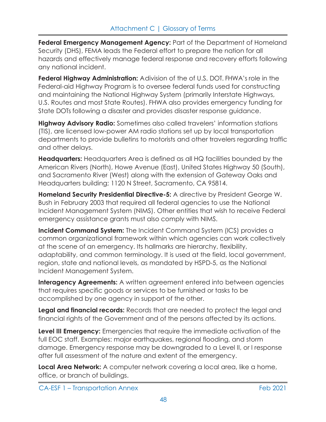**Federal Emergency Management Agency:** Part of the Department of Homeland Security (DHS), FEMA leads the Federal effort to prepare the nation for all hazards and effectively manage federal response and recovery efforts following any national incident.

**Federal Highway Administration:** A division of the of U.S. DOT. FHWA's role in the Federal-aid Highway Program is to oversee federal funds used for constructing and maintaining the National Highway System (primarily Interstate Highways, U.S. Routes and most State Routes). FHWA also provides emergency funding for State DOTs following a disaster and provides disaster response guidance.

**Highway Advisory Radio:** Sometimes also called travelers' information stations (TIS), are licensed low-power AM radio stations set up by local transportation departments to provide bulletins to motorists and other travelers regarding traffic and other delays.

**Headquarters:** Headquarters Area is defined as all HQ facilities bounded by the American Rivers (North), Howe Avenue (East), United States Highway 50 (South), and Sacramento River (West) along with the extension of Gateway Oaks and Headquarters building; 1120 N Street, Sacramento, CA 95814.

**Homeland Security Presidential Directive-5:** A directive by President George W. Bush in February 2003 that required all federal agencies to use the National Incident Management System (NIMS). Other entities that wish to receive Federal emergency assistance grants must also comply with NIMS.

**Incident Command System:** The Incident Command System (ICS) provides a common organizational framework within which agencies can work collectively at the scene of an emergency. Its hallmarks are hierarchy, flexibility, adaptability, and common terminology. It is used at the field, local government, region, state and national levels, as mandated by HSPD-5, as the National Incident Management System.

**Interagency Agreements:** A written agreement entered into between agencies that requires specific goods or services to be furnished or tasks to be accomplished by one agency in support of the other.

**Legal and financial records:** Records that are needed to protect the legal and financial rights of the Government and of the persons affected by its actions.

**Level III Emergency:** Emergencies that require the immediate activation of the full EOC staff. Examples: major earthquakes, regional flooding, and storm damage. Emergency response may be downgraded to a Level II, or I response after full assessment of the nature and extent of the emergency.

**Local Area Network:** A computer network covering a local area, like a home, office, or branch of buildings.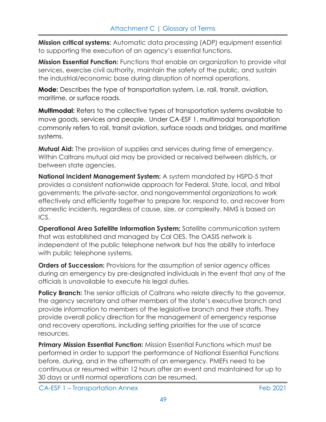**Mission critical systems:** Automatic data processing (ADP) equipment essential to supporting the execution of an agency's essential functions.

**Mission Essential Function:** Functions that enable an organization to provide vital services, exercise civil authority, maintain the safety of the public, and sustain the industrial/economic base during disruption of normal operations.

**Mode:** Describes the type of transportation system, i.e. rail, transit, aviation, maritime, or surface roads.

**Multimodal:** Refers to the collective types of transportation systems available to move goods, services and people. Under CA-ESF 1, multimodal transportation commonly refers to rail, transit aviation, surface roads and bridges, and maritime systems.

**Mutual Aid:** The provision of supplies and services during time of emergency. Within Caltrans mutual aid may be provided or received between districts, or between state agencies.

**National Incident Management System:** A system mandated by HSPD-5 that provides a consistent nationwide approach for Federal, State, local, and tribal governments; the private-sector, and nongovernmental organizations to work effectively and efficiently together to prepare for, respond to, and recover from domestic incidents, regardless of cause, size, or complexity. NIMS is based on ICS.

**Operational Area Satellite Information System:** Satellite communication system that was established and managed by Cal OES. The OASIS network is independent of the public telephone network but has the ability to interface with public telephone systems.

**Orders of Succession:** Provisions for the assumption of senior agency offices during an emergency by pre-designated individuals in the event that any of the officials is unavailable to execute his legal duties.

**Policy Branch:** The senior officials of Caltrans who relate directly to the governor, the agency secretary and other members of the state's executive branch and provide information to members of the legislative branch and their staffs. They provide overall policy direction for the management of emergency response and recovery operations, including setting priorities for the use of scarce resources.

**Primary Mission Essential Function:** Mission Essential Functions which must be performed in order to support the performance of National Essential Functions before, during, and in the aftermath of an emergency. PMEFs need to be continuous or resumed within 12 hours after an event and maintained for up to 30 days or until normal operations can be resumed.

CA-ESF 1 – Transportation Annex Feb 2021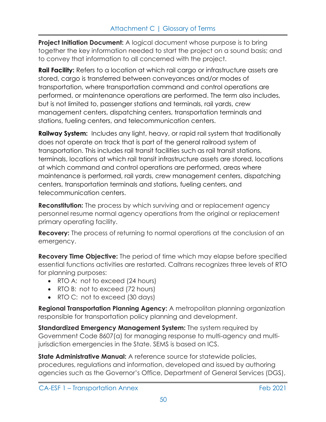**Project Initiation Document:** A logical document whose purpose is to bring together the key information needed to start the project on a sound basis; and to convey that information to all concerned with the project.

**Rail Facility:** Refers to a location at which rail cargo or infrastructure assets are stored, cargo is transferred between conveyances and/or modes of transportation, where transportation command and control operations are performed, or maintenance operations are performed. The term also includes, but is not limited to, passenger stations and terminals, rail yards, crew management centers, dispatching centers, transportation terminals and stations, fueling centers, and telecommunication centers.

**Railway System:** Includes any light, heavy, or rapid rail system that traditionally does not operate on track that is part of the general railroad system of transportation. This includes rail transit facilities such as rail transit stations, terminals, locations at which rail transit infrastructure assets are stored, locations at which command and control operations are performed, areas where maintenance is performed, rail yards, crew management centers, dispatching centers, transportation terminals and stations, fueling centers, and telecommunication centers.

**Reconstitution:** The process by which surviving and or replacement agency personnel resume normal agency operations from the original or replacement primary operating facility.

**Recovery:** The process of returning to normal operations at the conclusion of an emergency.

**Recovery Time Objective:** The period of time which may elapse before specified essential functions activities are restarted. Caltrans recognizes three levels of RTO for planning purposes:

- RTO A: not to exceed (24 hours)
- RTO B: not to exceed (72 hours)
- RTO C: not to exceed (30 days)

**Regional Transportation Planning Agency:** A metropolitan planning organization responsible for transportation policy planning and development.

**Standardized Emergency Management System:** The system required by Government Code 8607(a) for managing response to multi-agency and multijurisdiction emergencies in the State. SEMS is based on ICS.

**State Administrative Manual:** A reference source for statewide policies, procedures, regulations and information, developed and issued by authoring agencies such as the Governor's Office, Department of General Services (DGS),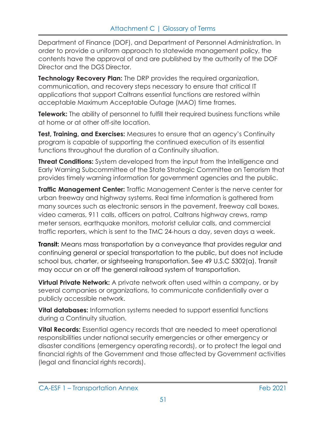Department of Finance (DOF), and Department of Personnel Administration. In order to provide a uniform approach to statewide management policy, the contents have the approval of and are published by the authority of the DOF Director and the DGS Director.

**Technology Recovery Plan:** The DRP provides the required organization, communication, and recovery steps necessary to ensure that critical IT applications that support Caltrans essential functions are restored within acceptable Maximum Acceptable Outage (MAO) time frames.

**Telework:** The ability of personnel to fulfill their required business functions while at home or at other off-site location.

**Test, Training, and Exercises:** Measures to ensure that an agency's Continuity program is capable of supporting the continued execution of its essential functions throughout the duration of a Continuity situation.

**Threat Conditions:** System developed from the input from the Intelligence and Early Warning Subcommittee of the State Strategic Committee on Terrorism that provides timely warning information for government agencies and the public.

**Traffic Management Center:** Traffic Management Center is the nerve center for urban freeway and highway systems. Real time information is gathered from many sources such as electronic sensors in the pavement, freeway call boxes, video cameras, 911 calls, officers on patrol, Caltrans highway crews, ramp meter sensors, earthquake monitors, motorist cellular calls, and commercial traffic reporters, which is sent to the TMC 24-hours a day, seven days a week.

**Transit:** Means mass transportation by a conveyance that provides regular and continuing general or special transportation to the public, but does not include school bus, charter, or sightseeing transportation. See 49 U.S.C 5302(a). Transit may occur on or off the general railroad system of transportation.

**Virtual Private Network:** A private network often used within a company, or by several companies or organizations, to communicate confidentially over a publicly accessible network.

**Vital databases:** Information systems needed to support essential functions during a Continuity situation.

**Vital Records:** Essential agency records that are needed to meet operational responsibilities under national security emergencies or other emergency or disaster conditions (emergency operating records), or to protect the legal and financial rights of the Government and those affected by Government activities (legal and financial rights records).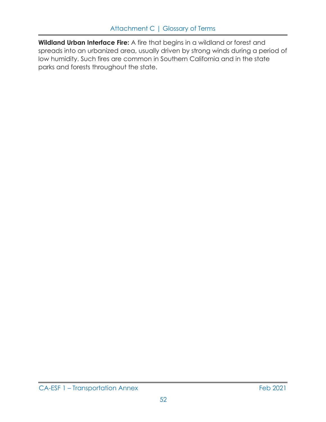**Wildland Urban Interface Fire:** A fire that begins in a wildland or forest and spreads into an urbanized area, usually driven by strong winds during a period of low humidity. Such fires are common in Southern California and in the state parks and forests throughout the state.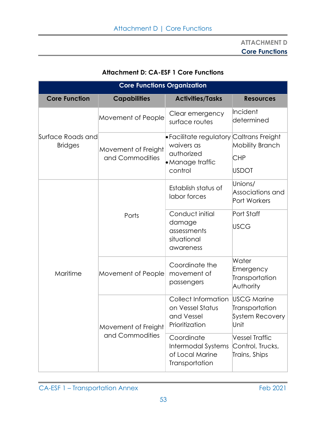## **Attachment D: CA-ESF 1 Core Functions**

| <b>Core Functions Organization</b>  |                                        |                                                                                                     |                                                                 |  |
|-------------------------------------|----------------------------------------|-----------------------------------------------------------------------------------------------------|-----------------------------------------------------------------|--|
| <b>Core Function</b>                | <b>Capabilities</b>                    | <b>Activities/Tasks</b>                                                                             | <b>Resources</b>                                                |  |
| Surface Roads and<br><b>Bridges</b> | Movement of People                     | Clear emergency<br>surface routes                                                                   | Incident<br>determined                                          |  |
|                                     | Movement of Freight<br>and Commodities | • Facilitate regulatory Caltrans Freight<br>waivers as<br>authorized<br>• Manage traffic<br>control | <b>Mobility Branch</b><br><b>CHP</b><br><b>USDOT</b>            |  |
| Maritime                            |                                        | Establish status of<br>labor forces                                                                 | Unions/<br>Associations and<br>Port Workers                     |  |
|                                     | Ports                                  | Conduct initial<br>damage<br>assessments<br>situational<br>awareness                                | Port Staff<br><b>USCG</b>                                       |  |
|                                     | Movement of People                     | Coordinate the<br>movement of<br>passengers                                                         | Water<br>Emergency<br>Transportation<br>Authority               |  |
|                                     | Movement of Freight<br>and Commodities | Collect Information<br>on Vessel Status<br>and Vessel<br>Prioritization                             | <b>USCG Marine</b><br>Transportation<br>System Recovery<br>Unit |  |
|                                     |                                        | Coordinate<br>Intermodal Systems<br>of Local Marine<br>Transportation                               | <b>Vessel Traffic</b><br>Control, Trucks,<br>Trains, Ships      |  |